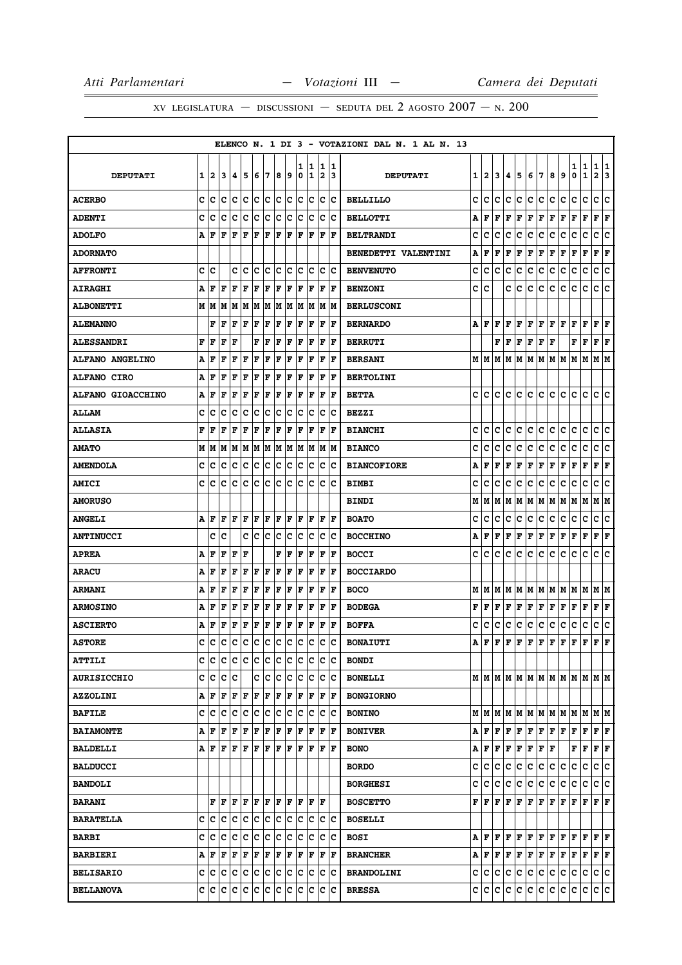|                          |              |              |                   |     |            |     |     |                |         |        |                                                                                                                                                      |                |                         | ELENCO N. 1 DI 3 - VOTAZIONI DAL N. 1 AL N. 13 |   |     |     |     |                                                                                                                                                       |                      |     |     |                                                                 |        |                   |                      |        |
|--------------------------|--------------|--------------|-------------------|-----|------------|-----|-----|----------------|---------|--------|------------------------------------------------------------------------------------------------------------------------------------------------------|----------------|-------------------------|------------------------------------------------|---|-----|-----|-----|-------------------------------------------------------------------------------------------------------------------------------------------------------|----------------------|-----|-----|-----------------------------------------------------------------|--------|-------------------|----------------------|--------|
| <b>DEPUTATI</b>          | $\mathbf{1}$ | $\mathbf{z}$ | 3                 | 4   | 5          | 6   | 17  | 8              | و ا     | 1<br>0 | 11<br>1                                                                                                                                              | $\overline{2}$ | 1  1<br>13              | <b>DEPUTATI</b>                                | 1 | 2   | 3   |     | 4567                                                                                                                                                  |                      |     | 8   | و ا                                                             | 1<br>0 | 1<br>$\mathbf{1}$ | 1<br>$\mathbf{2}$    | 1<br>3 |
| <b>ACERBO</b>            |              | c  c         | lc                | c c |            | c c |     |                | c c     | lc.    | lc.                                                                                                                                                  |                | c c                     | <b>BELLILLO</b>                                | c | с   | c   | c   | IC.                                                                                                                                                   | c c                  |     | lc. | lc.                                                             | c      | c                 | c                    | c      |
| <b>ADENTI</b>            | c            | c            | Iс                | Iс  | Ιc         | c   | ΙC  | c              | Iс      | Ιc     | Ιc                                                                                                                                                   | IC.            | ΙC                      | <b>BELLOTTI</b>                                | А | F   | F   | F   | F                                                                                                                                                     | F                    | F   | F   | F                                                               | F      | $\mathbf F$       | F                    | F      |
| <b>ADOLFO</b>            |              | A F          | F                 | lF  | ΙF         | l F | ΙF  | ١F             | l F     | ΙF     | l F                                                                                                                                                  | F              | lF                      | <b>BELTRANDI</b>                               | c | c   | c   | c   | ١c                                                                                                                                                    | ١c                   | Ιc  | c   | c                                                               | c      | c                 | c                    | c      |
| <b>ADORNATO</b>          |              |              |                   |     |            |     |     |                |         |        |                                                                                                                                                      |                |                         | BENEDETTI VALENTINI                            | А | F   | F   | F   | F                                                                                                                                                     | $ {\bf F}  {\bf F} $ |     | F   | F                                                               | F      | F                 | ${\bf F}$ ${\bf F}$  |        |
| <b>AFFRONTI</b>          | c            | c            |                   | c   | c          | c   | Ιc  | c              | Iс      | c      | Iс                                                                                                                                                   | c              | ΙC                      | <b>BENVENUTO</b>                               | c | с   | c   | с   | IС                                                                                                                                                    | c                    | Iс  | с   | c                                                               | c      | с                 | с                    | c      |
| <b>AIRAGHI</b>           |              | A F          | l F               | F   | ΙF         | F   | F   | F              | F       | lF.    | F                                                                                                                                                    | F              | ١F                      | <b>BENZONI</b>                                 | с | c   |     | c   | ١c                                                                                                                                                    | Iс                   | lc. | c   | c                                                               | c      | c                 | c                    | c      |
| <b>ALBONETTI</b>         | м            | lМ           | M                 |     | MM         | lм  | M   | lм             | M       | M      | lм                                                                                                                                                   |                | M  M                    | <b>BERLUSCONI</b>                              |   |     |     |     |                                                                                                                                                       |                      |     |     |                                                                 |        |                   |                      |        |
| <b>ALEMANNO</b>          |              | F            | F                 | F   | ١F         | F   | F   | F              | F       | ΙF     | F                                                                                                                                                    | ΙF             | F                       | <b>BERNARDO</b>                                |   | AF  | l F | F   | F                                                                                                                                                     | F F                  |     | F F |                                                                 | F      | F                 | F                    | F      |
| <b>ALESSANDRI</b>        | F            | F            | F                 | l F |            | F   | ΙF  | F              | l F     | F      | l F                                                                                                                                                  | F              | lF                      | <b>BERRUTI</b>                                 |   |     |     |     | $\bf{F}$ $\bf{F}$ $\bf{F}$ $\bf{F}$ $\bf{F}$ $\bf{F}$                                                                                                 |                      |     |     |                                                                 | F      | F                 | ${\bf F}$ ${\bf F}$  |        |
| <b>ALFANO ANGELINO</b>   | Α            | F            | F                 | F   | ΙF         | F   | ΙF  | ΙF             | ΙF      | ΙF     | ΙF                                                                                                                                                   | F              | F                       | <b>BERSANI</b>                                 |   | MIM |     |     | IM IM IM IM IM IM                                                                                                                                     |                      |     |     |                                                                 | M      | м                 | МM                   |        |
| <b>ALFANO CIRO</b>       | Α            | F            | F                 | lF  | F          | F   | F   | F              | F       | F      | F                                                                                                                                                    | F              | ΙF                      | <b>BERTOLINI</b>                               |   |     |     |     |                                                                                                                                                       |                      |     |     |                                                                 |        |                   |                      |        |
| <b>ALFANO GIOACCHINO</b> | A            | F            | F                 | F   | ΙF         | F   | F   | ΙF             | l F     | F      | l F                                                                                                                                                  | ΙF             | F                       | <b>BETTA</b>                                   | c | c   | c   | c   | lc.                                                                                                                                                   | c                    | lc. | с   | с                                                               | c      | c                 | c                    | c      |
| <b>ALLAM</b>             | c            | c            | c                 | c   | c          | c   | ∣c  | c              | c       | Iс     | Iс                                                                                                                                                   | c              | Ιc                      | <b>BEZZI</b>                                   |   |     |     |     |                                                                                                                                                       |                      |     |     |                                                                 |        |                   |                      |        |
| <b>ALLASIA</b>           | F            | F            | l F               | F   | ΙF         | F   | F   | F              | F       | l F    | lF                                                                                                                                                   | F              | F                       | <b>BIANCHI</b>                                 | c | с   | c   | c   | lc.                                                                                                                                                   | IC.                  | c   | C   | c                                                               | с      | c                 | c                    | c      |
| <b>AMATO</b>             | М            | м            | lМ                |     | M  M  M  M |     |     |                | M M     |        | M M                                                                                                                                                  |                | IM IM                   | <b>BIANCO</b>                                  | c | c   | c   | c   | lc.                                                                                                                                                   | c                    | IС  | с   | c                                                               | c      | c                 | c                    | c      |
| <b>AMENDOLA</b>          | c            | c            | c                 | Iс  | Ιc         | c   | ∣c  | c              | Iс      | Ιc     | Ιc                                                                                                                                                   | ΙC             | Ιc                      | <b>BIANCOFIORE</b>                             | А | F   | F   | F   | F                                                                                                                                                     | F                    | F   | F   | F                                                               | F      | $\mathbf F$       | F                    | F      |
| <b>AMICI</b>             | c            | c            | c                 | lc  | c          | Ιc  | ١c  | Ιc             | lc      | Ιc     | Ιc                                                                                                                                                   | Ιc             | Ιc                      | <b>BIMBI</b>                                   | c | c   | c   | c   | lc.                                                                                                                                                   | c                    | lc. | c   | c                                                               | c      | c                 | c                    | C      |
| <b>AMORUSO</b>           |              |              |                   |     |            |     |     |                |         |        |                                                                                                                                                      |                |                         | <b>BINDI</b>                                   | М | M   |     |     | M  M  M  M  M  M  M                                                                                                                                   |                      |     |     |                                                                 | MM     |                   | M M                  |        |
| <b>ANGELI</b>            | A            | F            | F                 | F   | l F        | F   | l F | F              | lF.     | l F    | lF.                                                                                                                                                  | ΙF             | lF                      | <b>BOATO</b>                                   | c | с   | c   | c   | IС                                                                                                                                                    | c                    | IС  | с   | c                                                               | c      | с                 | с                    | с      |
| <b>ANTINUCCI</b>         |              | c            | c                 |     | c          | ∣c  | ١c  | c              | c       | c      | c                                                                                                                                                    | c              | Ιc                      | <b>BOCCHINO</b>                                | A | ١F  | lF. | F   | F F F                                                                                                                                                 |                      |     | F   | F                                                               | F      | F                 | F                    | F      |
| <b>APREA</b>             | Α            | F            | l F               | F   | l F        |     |     | F              | ΙF      | l F    | ΙF                                                                                                                                                   | F              | F                       | <b>BOCCI</b>                                   | c | с   | c   | c   | lc.                                                                                                                                                   | Iс                   | lc. | c   | c                                                               | с      | c                 | c                    | c      |
| <b>ARACU</b>             | Α            | F            | F                 | F   | F          | F   | F   | F              | F       | ΙF     | F                                                                                                                                                    | F              | ΙF                      | <b>BOCCIARDO</b>                               |   |     |     |     |                                                                                                                                                       |                      |     |     |                                                                 |        |                   |                      |        |
| <b>ARMANI</b>            | Α            | F            | F                 | F   | F          | F   | F   | F              | F       | F      | l F                                                                                                                                                  | F              | lF                      | <b>BOCO</b>                                    | М |     |     |     |                                                                                                                                                       |                      |     |     | IM IM IM IM IM IM IM IM IM                                      |        |                   | M M                  |        |
| <b>ARMOSINO</b>          | Α            | F            | F                 | F   | F          | F   | ΙF  | ΙF             | F       | ΙF     | F                                                                                                                                                    | ΙF             | F                       | <b>BODEGA</b>                                  | F | F   | F   | l F | l F                                                                                                                                                   | lF.                  | F   | F   | F                                                               | F      | $\mathbf F$       | F                    | F      |
| <b>ASCIERTO</b>          | Α            | F            | F                 | F   | F          | F   | F   | F              | F       |        | F F                                                                                                                                                  | F              | F                       | <b>BOFFA</b>                                   | c | с   | c   | c   | IС                                                                                                                                                    | c                    | IС  | с   | c                                                               | c      | с                 | c                    | c      |
| <b>ASTORE</b>            | c            | c            | c                 | Iс  | c          | c   | c   | ∣c             | c       | ∣c     | Ιc                                                                                                                                                   | Ιc             | lc                      | <b>BONAIUTI</b>                                | A | F   | F   | l F | F                                                                                                                                                     | F                    | F   | lF. | F                                                               | F      | l F               | F                    | ΙF     |
| <b>ATTILI</b>            |              |              | C C C C C C C C C |     |            |     |     |                |         |        | c c                                                                                                                                                  |                | c c                     | <b>BONDI</b>                                   |   |     |     |     |                                                                                                                                                       |                      |     |     |                                                                 |        |                   |                      |        |
| <b>AURISICCHIO</b>       |              |              | c c c c           |     |            |     |     |                | c c c c |        | c c                                                                                                                                                  |                | c c                     | <b>BONELLI</b>                                 |   |     |     |     |                                                                                                                                                       |                      |     |     | $M$   $M$   $M$   $M$   $M$   $M$   $M$   $M$   $M$   $M$   $M$ |        |                   |                      |        |
| <b>AZZOLINI</b>          |              | AFF          |                   | F F |            | F F |     | $ \mathbf{F} $ | F       | F      | F                                                                                                                                                    |                | $ {\bf F}  {\bf F} $    | <b>BONGIORNO</b>                               |   |     |     |     |                                                                                                                                                       |                      |     |     |                                                                 |        |                   |                      |        |
| <b>BAFILE</b>            |              |              |                   |     |            |     |     |                |         |        | $c   c   c   c   c   c   c   c   c   c   c$                                                                                                          |                | c c                     | <b>BONINO</b>                                  |   |     |     |     |                                                                                                                                                       |                      |     |     | м м м м м м м м м м м м                                         |        |                   |                      |        |
| <b>BAIAMONTE</b>         |              | AF           | F                 | F   | ΙF         | F   | F   |                | F F     |        | F F                                                                                                                                                  | F              | ١F                      | <b>BONIVER</b>                                 |   |     |     |     | $\mathbf{A} \mathbf{ F } \mathbf{F} \mathbf{ F } \mathbf{F} \mathbf{ F } \mathbf{F} \mathbf{ F } \mathbf{F}$                                          |                      |     |     |                                                                 | F      | F                 | $ {\bf F}  {\bf F} $ |        |
| <b>BALDELLI</b>          |              |              |                   |     |            |     |     |                |         |        |                                                                                                                                                      |                |                         | <b>BONO</b>                                    |   |     |     |     | $\mathbf{A} \left  \mathbf{F} \right  \mathbf{F} \left  \mathbf{F} \right  \mathbf{F} \left  \mathbf{F} \right  \mathbf{F} \left  \mathbf{F} \right $ |                      |     |     |                                                                 | F      | F                 | $ {\bf F}  {\bf F} $ |        |
| <b>BALDUCCI</b>          |              |              |                   |     |            |     |     |                |         |        |                                                                                                                                                      |                |                         | <b>BORDO</b>                                   | c | c   | lc. | lc. | c c c c c                                                                                                                                             |                      |     |     |                                                                 | c      | c                 | c c                  |        |
| <b>BANDOLI</b>           |              |              |                   |     |            |     |     |                |         |        |                                                                                                                                                      |                |                         | <b>BORGHESI</b>                                | c |     |     |     | c  c  c  c  c  c  c  c                                                                                                                                |                      |     |     |                                                                 | c      | c                 | c c                  |        |
| <b>BARANI</b>            |              | F            | ١F                | l F | ΙF         | F F |     | F F            |         |        | F  F  F                                                                                                                                              |                |                         | <b>BOSCETTO</b>                                |   |     |     |     | ${\bf F}\, \,{\bf F}\, \,{\bf F}\, \,{\bf F}\, \,{\bf F}\, \,{\bf F}\, \,{\bf F}\, \,{\bf F}\, \,{\bf F}\,$                                           |                      |     |     |                                                                 | F      | F                 | $\bf{F}$ $\bf{F}$    |        |
| <b>BARATELLA</b>         |              | c Ic         | c c c c c         |     |            |     |     |                | c c     | lc.    | Iс                                                                                                                                                   |                | $ {\bf c} \;   {\bf c}$ | <b>BOSELLI</b>                                 |   |     |     |     |                                                                                                                                                       |                      |     |     |                                                                 |        |                   |                      |        |
| <b>BARBI</b>             |              |              |                   |     |            |     |     |                |         |        | C C C C C C C C C C C                                                                                                                                |                | c c                     | <b>BOSI</b>                                    |   |     |     |     |                                                                                                                                                       |                      |     |     | A F F F F F F F F F F F F F F F                                 |        |                   |                      |        |
| <b>BARBIERI</b>          |              | ΑF           | F                 |     |            |     |     |                |         |        | $\boxed{\mathbf{F} \mid \mathbf{F} \mid \mathbf{F} \mid \mathbf{F} \mid \mathbf{F} \mid \mathbf{F} \mid \mathbf{F} \mid \mathbf{F} \mid \mathbf{F}}$ | F              | ١F                      | <b>BRANCHER</b>                                |   |     |     |     |                                                                                                                                                       |                      |     |     | A F F F F F F F F F F F F                                       |        |                   | $ {\bf F}  {\bf F} $ |        |
| <b>BELISARIO</b>         |              |              |                   |     |            |     |     |                |         |        | C C C C C C C C C C C C                                                                                                                              |                | c c                     | <b>BRANDOLINI</b>                              |   |     |     |     | C C C C C C C C C                                                                                                                                     |                      |     |     |                                                                 | C      | c                 | c c                  |        |
| <b>BELLANOVA</b>         |              |              |                   |     |            |     |     |                |         |        |                                                                                                                                                      |                |                         | <b>BRESSA</b>                                  |   |     |     |     |                                                                                                                                                       |                      |     |     | C C C C C C C C C C C                                           |        |                   | c c                  |        |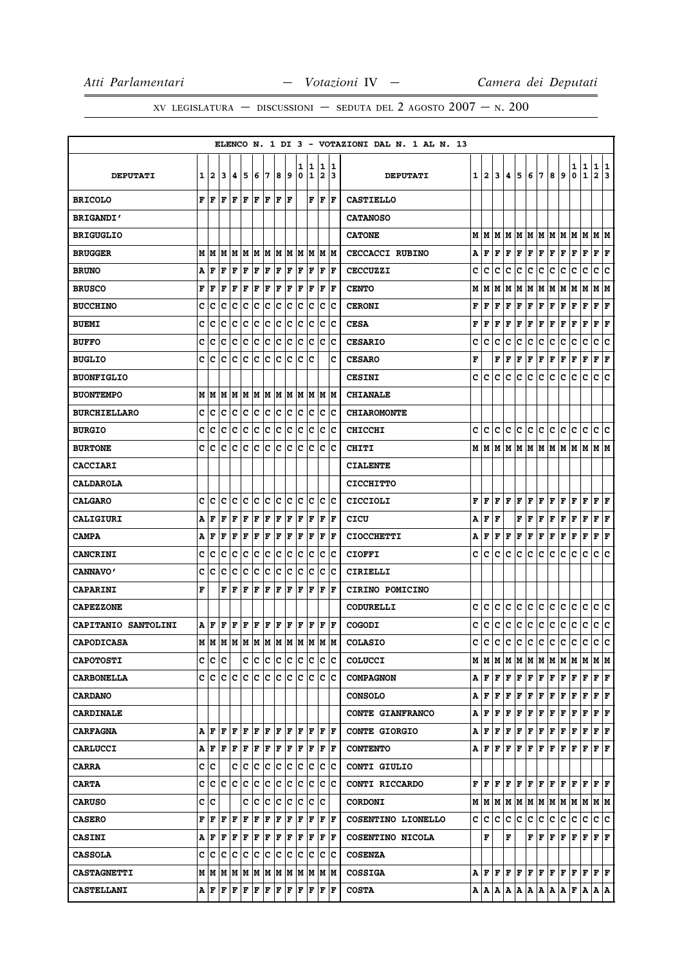# XV LEGISLATURA — DISCUSSIONI — SEDUTA DEL 2 AGOSTO  $2007 - N. 200$

|                     |          |              |     |      |                                                                                                                                                  |     |                     |                      |    |    |                      |                         |                                           | ELENCO N. 1 DI 3 - VOTAZIONI DAL N. 1 AL N. 13 |   |                |   |       |   |    |                                |   |                                                                                                                                                                                                                                                                                                                                                                                                                                                                                            |                                   |               |                             |               |
|---------------------|----------|--------------|-----|------|--------------------------------------------------------------------------------------------------------------------------------------------------|-----|---------------------|----------------------|----|----|----------------------|-------------------------|-------------------------------------------|------------------------------------------------|---|----------------|---|-------|---|----|--------------------------------|---|--------------------------------------------------------------------------------------------------------------------------------------------------------------------------------------------------------------------------------------------------------------------------------------------------------------------------------------------------------------------------------------------------------------------------------------------------------------------------------------------|-----------------------------------|---------------|-----------------------------|---------------|
| <b>DEPUTATI</b>     | $1 \mid$ | $\mathbf{2}$ | 3   | 4    | 5                                                                                                                                                | 6   | 7                   | 8                    | 9  | 0  | 1   1<br>1           | $\overline{\mathbf{2}}$ | 1 1<br>13                                 | <b>DEPUTATI</b>                                | 1 | $\overline{2}$ | 3 | 4     | 5 | 6  | 7                              | 8 | 9                                                                                                                                                                                                                                                                                                                                                                                                                                                                                          | 1<br>0                            | $\frac{1}{1}$ | $\frac{1}{2}$               | $\frac{1}{3}$ |
| <b>BRICOLO</b>      |          | FF           | F   | F F  |                                                                                                                                                  | F   | F                   | $ {\bf F}  {\bf F} $ |    |    |                      |                         | ${\bf F} \,   \, {\bf F} \,   \, {\bf F}$ | <b>CASTIELLO</b>                               |   |                |   |       |   |    |                                |   |                                                                                                                                                                                                                                                                                                                                                                                                                                                                                            |                                   |               |                             |               |
| <b>BRIGANDI'</b>    |          |              |     |      |                                                                                                                                                  |     |                     |                      |    |    |                      |                         |                                           | <b>CATANOSO</b>                                |   |                |   |       |   |    |                                |   |                                                                                                                                                                                                                                                                                                                                                                                                                                                                                            |                                   |               |                             |               |
| <b>BRIGUGLIO</b>    |          |              |     |      |                                                                                                                                                  |     |                     |                      |    |    |                      |                         |                                           | <b>CATONE</b>                                  | м | lМ             | M | м     | M | M  | M   M                          |   | M M                                                                                                                                                                                                                                                                                                                                                                                                                                                                                        |                                   | M             | M M                         |               |
| <b>BRUGGER</b>      |          |              |     |      |                                                                                                                                                  |     |                     |                      |    |    |                      |                         |                                           | <b>CECCACCI RUBINO</b>                         | Α | F              | F | F     | F | F  | F                              | F | F                                                                                                                                                                                                                                                                                                                                                                                                                                                                                          | F                                 | F             | ${\bf F} \,   \, {\bf F}$   |               |
| <b>BRUNO</b>        | А        | F            | F   | F    | F                                                                                                                                                | F   | F                   | F                    | F  | F  | F                    | F                       | ١F                                        | <b>CECCUZZI</b>                                | c | c              | c | c     | с | с  | с                              | с | с                                                                                                                                                                                                                                                                                                                                                                                                                                                                                          | c                                 | c             | c                           | c             |
| <b>BRUSCO</b>       |          | FF           | F   | F    | F                                                                                                                                                | F   | F                   | F F                  |    | F  | F                    |                         | $ {\bf F}  {\bf F} $                      | <b>CENTO</b>                                   | М | М              | Μ | М     | Μ | М  | М                              | М | M                                                                                                                                                                                                                                                                                                                                                                                                                                                                                          | М                                 | М             | M   M                       |               |
| <b>BUCCHINO</b>     | c        | c            | с   | с    | c                                                                                                                                                | с   | c                   | c                    | c  | c  | Iс                   | Iс                      | Ιc                                        | <b>CERONI</b>                                  | F | F              | F | F     | F | F  | F                              | F | F                                                                                                                                                                                                                                                                                                                                                                                                                                                                                          | F                                 | F             | F                           | F             |
| <b>BUEMI</b>        | c        | c            | c   | с    | c                                                                                                                                                | c   | c                   | c                    | ∣c | ∣c | ∣c                   |                         | c c                                       | <b>CESA</b>                                    | F | F              | F | F     | F | F  | F                              | F | F                                                                                                                                                                                                                                                                                                                                                                                                                                                                                          | F                                 | F             | F                           | F             |
| <b>BUFFO</b>        | c        | c            | c   | c    | c                                                                                                                                                | c c |                     | c c                  |    |    | c c                  |                         | c c                                       | <b>CESARIO</b>                                 | c | C              | c | c     | с | с  | c                              | c | c                                                                                                                                                                                                                                                                                                                                                                                                                                                                                          | с                                 | c             | c                           | c             |
| <b>BUGLIO</b>       | C.       | c            | c   | с    | c                                                                                                                                                | lc. | lc.                 | c c                  |    | lc | lc                   |                         | c                                         | <b>CESARO</b>                                  | F |                | F | F     | F | F  | F                              | F | F                                                                                                                                                                                                                                                                                                                                                                                                                                                                                          | F                                 | F             | F                           | F             |
| <b>BUONFIGLIO</b>   |          |              |     |      |                                                                                                                                                  |     |                     |                      |    |    |                      |                         |                                           | <b>CESINI</b>                                  | c | c              | с | с     | с | c  | с                              | c | c                                                                                                                                                                                                                                                                                                                                                                                                                                                                                          | c                                 | c             | c                           | ١c            |
| <b>BUONTEMPO</b>    |          | M   M        | M   |      | M  M  M  M  M  M  M  M  M  M                                                                                                                     |     |                     |                      |    |    |                      |                         |                                           | <b>CHIANALE</b>                                |   |                |   |       |   |    |                                |   |                                                                                                                                                                                                                                                                                                                                                                                                                                                                                            |                                   |               |                             |               |
| <b>BURCHIELLARO</b> |          | C C          | c   |      | c  c  c  c  c  c  c  c  c  c  c                                                                                                                  |     |                     |                      |    |    |                      |                         |                                           | <b>CHIAROMONTE</b>                             |   |                |   |       |   |    |                                |   |                                                                                                                                                                                                                                                                                                                                                                                                                                                                                            |                                   |               |                             |               |
| <b>BURGIO</b>       | c        | c            | c   | c    | с                                                                                                                                                | c   | c                   | IС                   | c  | c  | c                    | IС                      | Ιc                                        | <b>CHICCHI</b>                                 | с | c              | с | с     | c | с  | с                              | с | с                                                                                                                                                                                                                                                                                                                                                                                                                                                                                          | с                                 | с             | с                           | c             |
| <b>BURTONE</b>      | c        | c            | C   | c    | C                                                                                                                                                | c   | c                   | c c                  |    | c  | c                    |                         | c c                                       | CHITI                                          |   | MIM            |   | M   M |   | MM |                                |   | M  M  M  M  M                                                                                                                                                                                                                                                                                                                                                                                                                                                                              |                                   |               | M M                         |               |
| <b>CACCIARI</b>     |          |              |     |      |                                                                                                                                                  |     |                     |                      |    |    |                      |                         |                                           | <b>CIALENTE</b>                                |   |                |   |       |   |    |                                |   |                                                                                                                                                                                                                                                                                                                                                                                                                                                                                            |                                   |               |                             |               |
| <b>CALDAROLA</b>    |          |              |     |      |                                                                                                                                                  |     |                     |                      |    |    |                      |                         |                                           | <b>CICCHITTO</b>                               |   |                |   |       |   |    |                                |   |                                                                                                                                                                                                                                                                                                                                                                                                                                                                                            |                                   |               |                             |               |
| <b>CALGARO</b>      | c        | c            | C   | c    | c                                                                                                                                                | c c |                     | c c                  |    |    | c c c c              |                         |                                           | CICCIOLI                                       | F | F              | F | F     | F | F  | F                              | F | F                                                                                                                                                                                                                                                                                                                                                                                                                                                                                          | F                                 | F             | ${\bf F} \,   \, {\bf F}$   |               |
| CALIGIURI           | А        | F            | F   | F    | F                                                                                                                                                | F   | F                   | F                    | F  | F  | F                    | ΙF                      | lF                                        | CICU                                           | A | F              | F |       | F | F  | F                              | F | F                                                                                                                                                                                                                                                                                                                                                                                                                                                                                          | F                                 | F             | F                           | F             |
| <b>CAMPA</b>        |          | A   F        | F   | F    | F                                                                                                                                                | F   | F                   | F F                  |    |    | $ {\bf F}  {\bf F} $ |                         | $ {\bf F}  {\bf F} $                      | <b>CIOCCHETTI</b>                              | А | F              | F | F     | F | F  | F                              | F | F                                                                                                                                                                                                                                                                                                                                                                                                                                                                                          | F                                 | F             | ${\bf F} \mid {\bf F}$      |               |
| <b>CANCRINI</b>     | c        | c            | с   | c    | c                                                                                                                                                | с   | c                   | c                    | c  | с  | Iс                   | c                       | Ιc                                        | <b>CIOFFI</b>                                  | с | c              | c | c     | с | с  | с                              | c | с                                                                                                                                                                                                                                                                                                                                                                                                                                                                                          | c                                 | с             | С                           | c             |
| <b>CANNAVO'</b>     | c        | c            | c   | c    | c                                                                                                                                                | c   | c                   | c                    | c  | c  | $ {\bf c}$           |                         | c c                                       | CIRIELLI                                       |   |                |   |       |   |    |                                |   |                                                                                                                                                                                                                                                                                                                                                                                                                                                                                            |                                   |               |                             |               |
| <b>CAPARINI</b>     | F        |              | F   | ١F   | F                                                                                                                                                | F   | F                   | F                    | ١F | ١F | ١F                   | F                       | ١F                                        | CIRINO POMICINO                                |   |                |   |       |   |    |                                |   |                                                                                                                                                                                                                                                                                                                                                                                                                                                                                            |                                   |               |                             |               |
| <b>CAPEZZONE</b>    |          |              |     |      |                                                                                                                                                  |     |                     |                      |    |    |                      |                         |                                           | <b>CODURELLI</b>                               | с | c              | с | с     | с | с  | с                              | с | с                                                                                                                                                                                                                                                                                                                                                                                                                                                                                          | с                                 | с             | с                           | c             |
| CAPITANIO SANTOLINI |          | A   F        |     |      | ${\bf F}\, \, {\bf F}\, \, {\bf F}\, \, {\bf F}\, \, {\bf F}\, \, {\bf F}\, \, {\bf F}\, \, {\bf F}\, \, {\bf F}\, \, {\bf F}\, \, {\bf F}\, \,$ |     |                     |                      |    |    |                      |                         |                                           | <b>COGODI</b>                                  | c | с              | c | c     | c | с  | c                              | с | c                                                                                                                                                                                                                                                                                                                                                                                                                                                                                          | c                                 | C             | c c                         |               |
| <b>CAPODICASA</b>   |          |              |     |      |                                                                                                                                                  |     |                     |                      |    |    |                      |                         |                                           | <b>COLASIO</b>                                 | с | c              | c | с     | c | c  | lc.                            | c | с                                                                                                                                                                                                                                                                                                                                                                                                                                                                                          | c                                 | c             | c c                         |               |
| <b>CAPOTOSTI</b>    | C.       | с            | c   |      |                                                                                                                                                  |     | c c c c c c c c c c |                      |    |    |                      |                         |                                           | <b>COLUCCI</b>                                 |   | M   M          |   | M M   |   |    |                                |   | M  M  M  M  M  M  M  M  M                                                                                                                                                                                                                                                                                                                                                                                                                                                                  |                                   |               |                             |               |
| <b>CARBONELLA</b>   | c l      | c            |     | C C  | c  c  c  c  c  c  c  c  c                                                                                                                        |     |                     |                      |    |    |                      |                         |                                           | <b>COMPAGNON</b>                               | A | F              | F | F     | F |    | F F                            |   | F F                                                                                                                                                                                                                                                                                                                                                                                                                                                                                        | $\mathbf{F}$                      | F             | ${\bf F} \parallel {\bf F}$ |               |
| <b>CARDANO</b>      |          |              |     |      |                                                                                                                                                  |     |                     |                      |    |    |                      |                         |                                           | <b>CONSOLO</b>                                 | Α | F              | F | F     | F |    | $\mathbf{F} \mathbf{F} $       |   | $F$ $F$ $F$                                                                                                                                                                                                                                                                                                                                                                                                                                                                                |                                   | $\mathbf{F}$  | F F                         |               |
| <b>CARDINALE</b>    |          |              |     |      |                                                                                                                                                  |     |                     |                      |    |    |                      |                         |                                           | CONTE GIANFRANCO                               | А | F              | F | F     | F | F  | F                              | F | F                                                                                                                                                                                                                                                                                                                                                                                                                                                                                          | F                                 | F             | ${\bf F}$ $\bf F$           |               |
| <b>CARFAGNA</b>     | Αl       | F            | F   |      | F   F   F   F   F   F   F                                                                                                                        |     |                     |                      |    |    |                      |                         | F F                                       | <b>CONTE GIORGIO</b>                           | А | F              | F | F     | F | F  | F                              | F | F                                                                                                                                                                                                                                                                                                                                                                                                                                                                                          | F                                 | F             | F F                         |               |
| <b>CARLUCCI</b>     |          |              |     |      |                                                                                                                                                  |     |                     |                      |    |    |                      |                         |                                           | <b>CONTENTO</b>                                | A | F              | F | F     | F |    |                                |   | $\mathbf{F} \left  \mathbf{F} \right. \left  \mathbf{F} \right. \left  \mathbf{F} \right. \left  \mathbf{F} \right. \left  \mathbf{F} \right. \left  \mathbf{F} \right. \left  \mathbf{F} \right. \left  \mathbf{F} \right. \left  \mathbf{F} \right. \left  \mathbf{F} \right. \left  \mathbf{F} \right. \left  \mathbf{F} \right. \left  \mathbf{F} \right. \left  \mathbf{F} \right. \left  \mathbf{F} \right. \left  \mathbf{F} \right. \left  \mathbf{F} \right. \left  \mathbf{F} \$ |                                   |               |                             |               |
| <b>CARRA</b>        |          | c  c         |     |      | C  C  C  C  C  C  C  C  C  C                                                                                                                     |     |                     |                      |    |    |                      |                         |                                           | CONTI GIULIO                                   |   |                |   |       |   |    |                                |   |                                                                                                                                                                                                                                                                                                                                                                                                                                                                                            |                                   |               |                             |               |
| <b>CARTA</b>        | c        |              | c c |      | c  c  c  c  c  c  c  c  c  c                                                                                                                     |     |                     |                      |    |    |                      |                         |                                           | CONTI RICCARDO                                 | F | F              | F | F     | F |    |                                |   | F F F F F F F F                                                                                                                                                                                                                                                                                                                                                                                                                                                                            |                                   |               |                             |               |
| <b>CARUSO</b>       | c        | c            |     |      | C                                                                                                                                                | c   | c                   |                      |    |    | c c c c c            |                         |                                           | <b>CORDONI</b>                                 |   |                |   |       |   |    |                                |   | $M$   $M$   $M$   $M$   $M$   $M$   $M$   $M$   $M$   $M$   $M$   $M$                                                                                                                                                                                                                                                                                                                                                                                                                      |                                   |               |                             |               |
| <b>CASERO</b>       | F        | F            | F   | F  F |                                                                                                                                                  | F F |                     | F F                  |    |    | F F                  |                         | F  F                                      | COSENTINO LIONELLO                             | c | c              | c | c     | c | c  | c                              | c | с                                                                                                                                                                                                                                                                                                                                                                                                                                                                                          | c                                 | c             | c c                         |               |
| <b>CASINI</b>       | А        | F            | F   |      | F F F F F F F F F F F                                                                                                                            |     |                     |                      |    |    |                      |                         |                                           | COSENTINO NICOLA                               |   | F              |   | F     |   | F  | F                              |   | F F                                                                                                                                                                                                                                                                                                                                                                                                                                                                                        | $\mathbf{F} \parallel \mathbf{F}$ |               | ${\bf F} \parallel {\bf F}$ |               |
| <b>CASSOLA</b>      | c        | c            | c   | с    | c  c  c  c  c  c  c  c  c                                                                                                                        |     |                     |                      |    |    |                      |                         |                                           | <b>COSENZA</b>                                 |   |                |   |       |   |    |                                |   |                                                                                                                                                                                                                                                                                                                                                                                                                                                                                            |                                   |               |                             |               |
| <b>CASTAGNETTI</b>  |          |              |     |      |                                                                                                                                                  |     |                     |                      |    |    |                      |                         |                                           | <b>COSSIGA</b>                                 |   | A F F          |   | F     | F |    | ${\bf F} \,   \, {\bf F} \,  $ |   | F F F F F F                                                                                                                                                                                                                                                                                                                                                                                                                                                                                |                                   |               |                             |               |
| <b>CASTELLANI</b>   |          |              |     |      |                                                                                                                                                  |     |                     |                      |    |    |                      |                         |                                           | <b>COSTA</b>                                   |   | A   A          | A | А     | Α |    | A A                            |   | A   A                                                                                                                                                                                                                                                                                                                                                                                                                                                                                      | F A                               |               | A   A                       |               |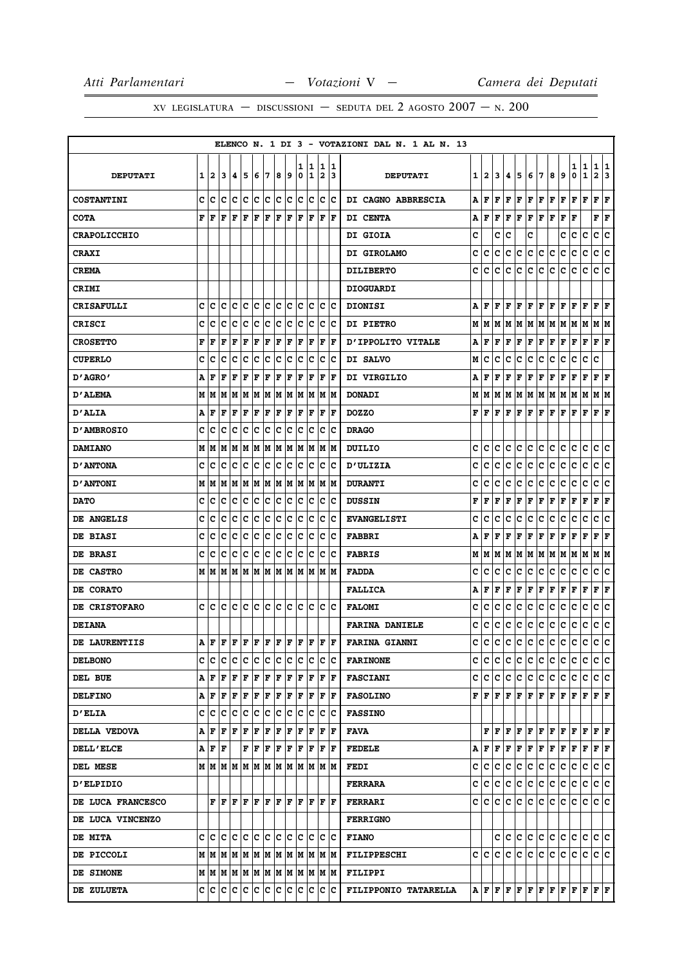|                      |   |           |    |                     |                            |     |    |     |     |    |                                                                      |     |                      | ELENCO N. 1 DI 3 - VOTAZIONI DAL N. 1 AL N. 13 |              |              |   |    |              |                           |                                   |     |                                                                                                                                                                                                                                                                                                                                                                                                                                                                                            |     |             |                                                                                                                                                                                                                                                                                                                                                                                                                                                                                            |    |
|----------------------|---|-----------|----|---------------------|----------------------------|-----|----|-----|-----|----|----------------------------------------------------------------------|-----|----------------------|------------------------------------------------|--------------|--------------|---|----|--------------|---------------------------|-----------------------------------|-----|--------------------------------------------------------------------------------------------------------------------------------------------------------------------------------------------------------------------------------------------------------------------------------------------------------------------------------------------------------------------------------------------------------------------------------------------------------------------------------------------|-----|-------------|--------------------------------------------------------------------------------------------------------------------------------------------------------------------------------------------------------------------------------------------------------------------------------------------------------------------------------------------------------------------------------------------------------------------------------------------------------------------------------------------|----|
|                      |   |           |    |                     |                            |     |    |     |     | 1  | 11                                                                   | 1   | 11                   |                                                |              |              |   |    |              |                           |                                   |     |                                                                                                                                                                                                                                                                                                                                                                                                                                                                                            | 1   | 1           | 1                                                                                                                                                                                                                                                                                                                                                                                                                                                                                          | 1  |
| <b>DEPUTATI</b>      | 1 | 12.       | 13 | 14.                 | 15                         | 6   | 17 | 8   | 19  | 0  | 1                                                                    | 2   | 13                   | <b>DEPUTATI</b>                                | $\mathbf{1}$ | $\mathbf{2}$ | 3 | 4  | 5            | 6                         | 7                                 | 8   | 9                                                                                                                                                                                                                                                                                                                                                                                                                                                                                          | 0   | $\mathbf 1$ | 2 3                                                                                                                                                                                                                                                                                                                                                                                                                                                                                        |    |
| <b>COSTANTINI</b>    | c | Ιc        | Ιc | Iс                  | Ιc                         | lC. | Iс | c c |     |    | lc Ic                                                                |     | c c                  | DI CAGNO ABBRESCIA                             | Α            | F            | F | F  | F            | F                         | F                                 | F   | F                                                                                                                                                                                                                                                                                                                                                                                                                                                                                          | F   | F           | F                                                                                                                                                                                                                                                                                                                                                                                                                                                                                          | F  |
| <b>COTA</b>          | F | ١F        | F  | ١F                  | l F                        | F   | F  | F   | lF. | ١F | IF.                                                                  |     | F F                  | DI CENTA                                       | Α            | F            | F | F  | F            |                           | $\mathbf{F} \parallel \mathbf{F}$ | F F |                                                                                                                                                                                                                                                                                                                                                                                                                                                                                            | F   |             | ${\bf F} \mid {\bf F}$                                                                                                                                                                                                                                                                                                                                                                                                                                                                     |    |
| <b>CRAPOLICCHIO</b>  |   |           |    |                     |                            |     |    |     |     |    |                                                                      |     |                      | DI GIOIA                                       | c            |              | c | c  |              | c                         |                                   |     | c                                                                                                                                                                                                                                                                                                                                                                                                                                                                                          | с   | с           | c                                                                                                                                                                                                                                                                                                                                                                                                                                                                                          | c  |
| <b>CRAXI</b>         |   |           |    |                     |                            |     |    |     |     |    |                                                                      |     |                      | DI GIROLAMO                                    | с            | с            | с | с  | c            | c                         | c                                 | с   | с                                                                                                                                                                                                                                                                                                                                                                                                                                                                                          | с   | c           | c                                                                                                                                                                                                                                                                                                                                                                                                                                                                                          | ∣c |
| <b>CREMA</b>         |   |           |    |                     |                            |     |    |     |     |    |                                                                      |     |                      | <b>DILIBERTO</b>                               | c            | с            | с | с  | с            | c                         | с                                 | c   | с                                                                                                                                                                                                                                                                                                                                                                                                                                                                                          | с   | с           | c                                                                                                                                                                                                                                                                                                                                                                                                                                                                                          | c  |
| <b>CRIMI</b>         |   |           |    |                     |                            |     |    |     |     |    |                                                                      |     |                      | <b>DIOGUARDI</b>                               |              |              |   |    |              |                           |                                   |     |                                                                                                                                                                                                                                                                                                                                                                                                                                                                                            |     |             |                                                                                                                                                                                                                                                                                                                                                                                                                                                                                            |    |
| <b>CRISAFULLI</b>    | c | с         | с  | Iс                  | Ιc                         | Ιc  | ١c | lc. | Iс  | lc | Iс                                                                   | Iс  | Ιc                   | <b>DIONISI</b>                                 | Α            | F            | F | F  | $\mathbf{F}$ |                           |                                   |     | $\mathbf{F} \left  \mathbf{F} \right. \left  \mathbf{F} \right. \left  \mathbf{F} \right. \left  \mathbf{F} \right. \left  \mathbf{F} \right. \left  \mathbf{F} \right. \left  \mathbf{F} \right. \left  \mathbf{F} \right. \left  \mathbf{F} \right. \left  \mathbf{F} \right. \left  \mathbf{F} \right. \left  \mathbf{F} \right. \left  \mathbf{F} \right. \left  \mathbf{F} \right. \left  \mathbf{F} \right. \left  \mathbf{F} \right. \left  \mathbf{F} \right. \left  \mathbf{F} \$ |     |             | $\bf{F}$ $\bf{F}$                                                                                                                                                                                                                                                                                                                                                                                                                                                                          |    |
| <b>CRISCI</b>        | c | с         | c  | c                   | c                          | Ιc  | Iс | Ιc  | Iс  | Iс | Iс                                                                   | Iс  | ΙC                   | <b>DI PIETRO</b>                               | М            | M            | M | M  | M            |                           |                                   |     |                                                                                                                                                                                                                                                                                                                                                                                                                                                                                            |     |             | M  M  M  M  M  M  M  M                                                                                                                                                                                                                                                                                                                                                                                                                                                                     |    |
| <b>CROSETTO</b>      | F | F         | F  | F                   | F                          | F   | F  | F   | F   | F  | F                                                                    | F   | lF                   | D'IPPOLITO VITALE                              | А            | F            | F | F  | г            | F F                       |                                   | F F |                                                                                                                                                                                                                                                                                                                                                                                                                                                                                            | F F |             | F F                                                                                                                                                                                                                                                                                                                                                                                                                                                                                        |    |
| <b>CUPERLO</b>       | c | ١c        | с  | Iс                  | Iс                         | Ιc  | Iс | Ιc  | Iс  | Iс | Iс                                                                   | Iс  | ΙC                   | DI SALVO                                       | М            | c            | c | c  | с            | c                         | с                                 | с   | c                                                                                                                                                                                                                                                                                                                                                                                                                                                                                          | с   | с           | c                                                                                                                                                                                                                                                                                                                                                                                                                                                                                          |    |
| 0' AGRO -            | А | F         | F  | F                   | F                          | F   | F  | F   | F   | F  | F                                                                    | F   | ١F                   | DI VIRGILIO                                    | A            | F            | F | F  | F            | F                         | F                                 | F   | Г                                                                                                                                                                                                                                                                                                                                                                                                                                                                                          | F   | F           | ${\bf F} \,   \, {\bf F}$                                                                                                                                                                                                                                                                                                                                                                                                                                                                  |    |
| <b>D'ALEMA</b>       | M | lМ        | IМ | lм                  | lм                         | M   | M  |     | MM  | lм | lм                                                                   | lм  | lм                   | <b>DONADI</b>                                  | М            | м            | М | М  | M            |                           | M   M   M   M                     |     |                                                                                                                                                                                                                                                                                                                                                                                                                                                                                            | MM  |             | M   M                                                                                                                                                                                                                                                                                                                                                                                                                                                                                      |    |
| <b>D'ALIA</b>        | А | F         | F  | F                   | F                          | F   | F  | F   | F   | F  | F                                                                    | F   | F                    | <b>DOZZO</b>                                   |              | FF           |   |    |              |                           |                                   |     |                                                                                                                                                                                                                                                                                                                                                                                                                                                                                            |     |             | ${\bf F}\, \, {\bf F}\, \, {\bf F}\, \, {\bf F}\, \, {\bf F}\, \, {\bf F}\, \, {\bf F}\, \, {\bf F}\, \, {\bf F}\, \, {\bf F}\, \, {\bf F}\,$                                                                                                                                                                                                                                                                                                                                              |    |
| <b>D'AMBROSIO</b>    | c | Ιc        | c  | Ιc                  | Iс                         | Iс  | ΙC | Ιc  | Iс  | Ιc | Iс                                                                   | ΙC  | Ιc                   | <b>DRAGO</b>                                   |              |              |   |    |              |                           |                                   |     |                                                                                                                                                                                                                                                                                                                                                                                                                                                                                            |     |             |                                                                                                                                                                                                                                                                                                                                                                                                                                                                                            |    |
| <b>DAMIANO</b>       |   | MM        | M  | lМ                  | M                          | M M |    |     | MM  |    | M M                                                                  |     | IM IM                | <b>DUILIO</b>                                  | c            | c            | c | c  | с            | c                         | c                                 | c   | c                                                                                                                                                                                                                                                                                                                                                                                                                                                                                          | c   | c           | c                                                                                                                                                                                                                                                                                                                                                                                                                                                                                          | Iс |
| <b>D'ANTONA</b>      | с | Ιc        | ١c | ΙC                  | Iс                         | ∣c  | ∣c | c c |     |    | lc Ic                                                                | IC. | ΙC                   | <b>D'ULIZIA</b>                                | c            | с            | с | с  | с            | с                         | c                                 | c   | c                                                                                                                                                                                                                                                                                                                                                                                                                                                                                          | с   | c           | c c                                                                                                                                                                                                                                                                                                                                                                                                                                                                                        |    |
| <b>D'ANTONI</b>      |   | M   M     |    | M  M  M  M  M  M  M |                            |     |    |     |     |    | M  M  M  M                                                           |     |                      | <b>DURANTI</b>                                 | c            | c            | c | с  | с            | c                         | с                                 | с   | с                                                                                                                                                                                                                                                                                                                                                                                                                                                                                          | с   | с           | с                                                                                                                                                                                                                                                                                                                                                                                                                                                                                          | c  |
| <b>DATO</b>          | c | c         | Iс | Iс                  | c                          | c   | c  | c c |     | c  | c                                                                    | IC. | ΙC                   | <b>DUSSIN</b>                                  | F            | F            | F | F  | F            | F                         | F                                 | F   | F                                                                                                                                                                                                                                                                                                                                                                                                                                                                                          | F   | F           | ${\bf F} \,   \, {\bf F}$                                                                                                                                                                                                                                                                                                                                                                                                                                                                  |    |
| DE ANGELIS           | c | с         | c  | c                   | c                          | c   | c  | c   | c   | lc | Ιc                                                                   | c   | Ιc                   | <b>EVANGELISTI</b>                             | c            | c            | c | с  | c            | c                         | c                                 | c   | c                                                                                                                                                                                                                                                                                                                                                                                                                                                                                          | c   | c           | c                                                                                                                                                                                                                                                                                                                                                                                                                                                                                          | с  |
| <b>DE BIASI</b>      | c | c         | lc | Iс                  | Ιc                         | Ιc  | ١c | Ιc  | lc. | lc | Iс                                                                   | lc. | Ιc                   | <b>FABBRI</b>                                  | А            | F            | F | F  | F            | F                         | F                                 | F   | F                                                                                                                                                                                                                                                                                                                                                                                                                                                                                          | F   | F           | $\bf F \,   \bf F$                                                                                                                                                                                                                                                                                                                                                                                                                                                                         |    |
| <b>DE BRASI</b>      | c | c         | Ιc | Ιc                  | Ιc                         | Iс  | ΙC | Ιc  | Iс  | Iс | Iс                                                                   | ΙC  | Ιc                   | <b>FABRIS</b>                                  | М            | м            | M | м  |              |                           |                                   |     | M   M   M   M   M   M   M                                                                                                                                                                                                                                                                                                                                                                                                                                                                  |     |             | M  M                                                                                                                                                                                                                                                                                                                                                                                                                                                                                       |    |
| DE CASTRO            |   | MM        |    |                     |                            |     |    |     |     |    | M  M  M  M  M  M  M  M  M  M  M                                      |     |                      | <b>FADDA</b>                                   | с            | c            | с | с  | с            | с                         | c                                 | c   | с                                                                                                                                                                                                                                                                                                                                                                                                                                                                                          | c   | c           | c                                                                                                                                                                                                                                                                                                                                                                                                                                                                                          | Iс |
| <b>DE CORATO</b>     |   |           |    |                     |                            |     |    |     |     |    |                                                                      |     |                      | <b>FALLICA</b>                                 | A            | F            | F | F  | г            | $\mathbf{F}   \mathbf{F}$ |                                   | F F |                                                                                                                                                                                                                                                                                                                                                                                                                                                                                            | F F |             | F F                                                                                                                                                                                                                                                                                                                                                                                                                                                                                        |    |
| <b>DE CRISTOFARO</b> |   | c Ic      | IC | lc.                 | lc.                        | c c |    | c c |     |    | ic ic ic ic                                                          |     |                      | <b>FALOMI</b>                                  | c            | c            | c | с  | с            | c                         | с                                 | c   | с                                                                                                                                                                                                                                                                                                                                                                                                                                                                                          | с   | с           | с                                                                                                                                                                                                                                                                                                                                                                                                                                                                                          | Ιc |
| <b>DEIANA</b>        |   |           |    |                     |                            |     |    |     |     |    |                                                                      |     |                      | <b>FARINA DANIELE</b>                          | c            | с            | с | с  | c            | с                         | c                                 | с   | c                                                                                                                                                                                                                                                                                                                                                                                                                                                                                          | c   | с           | с                                                                                                                                                                                                                                                                                                                                                                                                                                                                                          | ∣c |
| <b>DE LAURENTIIS</b> | A |           |    |                     |                            |     |    |     |     |    |                                                                      |     |                      | <b>FARINA GIANNI</b>                           | с            | c            | c | c  | c            | c                         | c                                 | c   | c                                                                                                                                                                                                                                                                                                                                                                                                                                                                                          | c   | c           | c.                                                                                                                                                                                                                                                                                                                                                                                                                                                                                         | ∣c |
| <b>DELBONO</b>       |   | C C C C C |    |                     |                            | c c |    | c c |     |    | c c c c                                                              |     |                      | <b>FARINONE</b>                                |              | c  c         | c |    |              |                           |                                   |     |                                                                                                                                                                                                                                                                                                                                                                                                                                                                                            |     |             | c  c  c  c  c  c  c  c  c  c                                                                                                                                                                                                                                                                                                                                                                                                                                                               |    |
| DEL BUE              |   |           |    |                     |                            |     |    |     |     |    |                                                                      |     |                      | <b>FASCIANI</b>                                |              |              |   |    |              |                           |                                   |     |                                                                                                                                                                                                                                                                                                                                                                                                                                                                                            |     |             | C C C C C C C C C C C C C C                                                                                                                                                                                                                                                                                                                                                                                                                                                                |    |
| <b>DELFINO</b>       |   | AFFFFF    |    |                     |                            | F   | F  | F F |     |    | F F                                                                  |     | $ {\bf F}  {\bf F} $ | <b>FASOLINO</b>                                |              |              |   |    |              |                           |                                   |     |                                                                                                                                                                                                                                                                                                                                                                                                                                                                                            |     |             | ${\bf F}\, \,{\bf F}\, \,{\bf F}\, \,{\bf F}\, \,{\bf F}\, \,{\bf F}\, \,{\bf F}\, \,{\bf F}\, \,{\bf F}\, \,{\bf F}\, \,{\bf F}\, \,{\bf F}\, \,{\bf F}\, \,{\bf F}\,$                                                                                                                                                                                                                                                                                                                    |    |
| <b>D'ELIA</b>        |   |           |    |                     |                            |     |    |     |     |    |                                                                      |     |                      | <b>FASSINO</b>                                 |              |              |   |    |              |                           |                                   |     |                                                                                                                                                                                                                                                                                                                                                                                                                                                                                            |     |             |                                                                                                                                                                                                                                                                                                                                                                                                                                                                                            |    |
| DELLA VEDOVA         |   | A F       |    | F   F   F           |                            | F   | F  |     |     |    | F F F F                                                              | lF. | ١F                   | FAVA                                           |              | F.           | F | F  | F.           |                           |                                   |     |                                                                                                                                                                                                                                                                                                                                                                                                                                                                                            |     |             | $\mathbf{F} \left  \mathbf{F} \right. \left  \mathbf{F} \right. \left  \mathbf{F} \right. \left  \mathbf{F} \right. \left  \mathbf{F} \right. \left  \mathbf{F} \right. \left  \mathbf{F} \right. \left  \mathbf{F} \right. \left  \mathbf{F} \right. \left  \mathbf{F} \right. \left  \mathbf{F} \right. \left  \mathbf{F} \right. \left  \mathbf{F} \right. \left  \mathbf{F} \right. \left  \mathbf{F} \right. \left  \mathbf{F} \right. \left  \mathbf{F} \right. \left  \mathbf{F} \$ |    |
| <b>DELL'ELCE</b>     |   | A F F     |    |                     | $\bf{F}$ $\bf{F}$ $\bf{F}$ |     |    |     |     |    | $ \mathbf{F} \mathbf{F} \mathbf{F} \mathbf{F} \mathbf{F} \mathbf{F}$ |     |                      | <b>FEDELE</b>                                  |              | A   F        |   |    |              |                           |                                   |     |                                                                                                                                                                                                                                                                                                                                                                                                                                                                                            |     |             | ${\bf F}\, {\bf F}\, {\bf F}\, {\bf F}\, {\bf F}\, {\bf F}\, {\bf F}\, {\bf F}\, {\bf F}\, {\bf F}\, {\bf F}\, {\bf F}\, {\bf F}\, {\bf F}\, {\bf F}\, {\bf F}\, {\bf F}\, {\bf F}\, {\bf F}\, {\bf F}\, {\bf F}\, {\bf F}\, {\bf F}\, {\bf F}\, {\bf F}\, {\bf F}\, {\bf F}\, {\bf F}\, {\bf F}\, {\bf F}\, {\bf F}\, {\bf F}\, {\bf F}\, {\bf F}\, {\bf F}\, {\bf F}\, {\bf F}\$                                                                                                         |    |
| <b>DEL MESE</b>      |   |           |    |                     |                            |     |    |     |     |    |                                                                      |     |                      | <b>FEDI</b>                                    | c            | c            | с | с  | c            |                           | c c c c                           |     |                                                                                                                                                                                                                                                                                                                                                                                                                                                                                            | c c |             | c c                                                                                                                                                                                                                                                                                                                                                                                                                                                                                        |    |
| <b>D'ELPIDIO</b>     |   |           |    |                     |                            |     |    |     |     |    |                                                                      |     |                      | <b>FERRARA</b>                                 | c I          | c            | c | c. |              |                           |                                   |     |                                                                                                                                                                                                                                                                                                                                                                                                                                                                                            |     |             | c c c c c c c c c c c                                                                                                                                                                                                                                                                                                                                                                                                                                                                      |    |
| DE LUCA FRANCESCO    |   |           |    |                     |                            |     |    |     |     |    |                                                                      |     |                      | <b>FERRARI</b>                                 |              |              |   |    |              |                           |                                   |     |                                                                                                                                                                                                                                                                                                                                                                                                                                                                                            |     |             | C C C C C C C C C C C C C C C                                                                                                                                                                                                                                                                                                                                                                                                                                                              |    |
| DE LUCA VINCENZO     |   |           |    |                     |                            |     |    |     |     |    |                                                                      |     |                      | <b>FERRIGNO</b>                                |              |              |   |    |              |                           |                                   |     |                                                                                                                                                                                                                                                                                                                                                                                                                                                                                            |     |             |                                                                                                                                                                                                                                                                                                                                                                                                                                                                                            |    |
| <b>DE MITA</b>       |   |           |    |                     |                            |     |    |     |     |    |                                                                      |     |                      | <b>FIANO</b>                                   |              |              |   |    |              |                           |                                   |     |                                                                                                                                                                                                                                                                                                                                                                                                                                                                                            |     |             | c c c c c c c c c c c c c                                                                                                                                                                                                                                                                                                                                                                                                                                                                  |    |
| <b>DE PICCOLI</b>    |   |           |    |                     |                            |     |    |     |     |    |                                                                      |     |                      | <b>FILIPPESCHI</b>                             |              | c  c         | c | c  | с            | с                         |                                   |     | C C C C                                                                                                                                                                                                                                                                                                                                                                                                                                                                                    |     |             | C C C                                                                                                                                                                                                                                                                                                                                                                                                                                                                                      |    |
| <b>DE SIMONE</b>     |   |           |    |                     |                            |     |    |     |     |    |                                                                      |     |                      | <b>FILIPPI</b>                                 |              |              |   |    |              |                           |                                   |     |                                                                                                                                                                                                                                                                                                                                                                                                                                                                                            |     |             |                                                                                                                                                                                                                                                                                                                                                                                                                                                                                            |    |
| <b>DE ZULUETA</b>    |   |           |    |                     |                            |     |    |     |     |    |                                                                      |     |                      | FILIPPONIO TATARELLA                           |              |              |   |    |              |                           |                                   |     |                                                                                                                                                                                                                                                                                                                                                                                                                                                                                            |     |             |                                                                                                                                                                                                                                                                                                                                                                                                                                                                                            |    |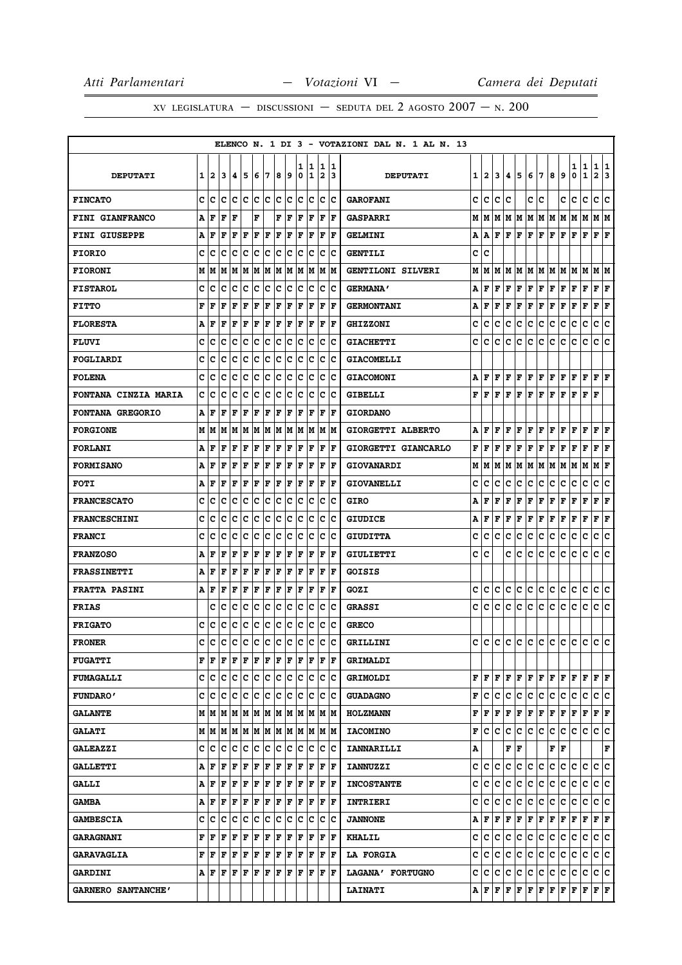XV LEGISLATURA — DISCUSSIONI — SEDUTA DEL 2 AGOSTO  $2007 - N. 200$ 

|                             |   |      |     |                                 |              |     |             |     |                       |        |        |                              |                         | ELENCO N. 1 DI 3 - VOTAZIONI DAL N. 1 AL N. 13 |   |              |   |   |                        |   |                                                                                                                                     |     |              |        |                                                                                                                                                                      |                        |        |
|-----------------------------|---|------|-----|---------------------------------|--------------|-----|-------------|-----|-----------------------|--------|--------|------------------------------|-------------------------|------------------------------------------------|---|--------------|---|---|------------------------|---|-------------------------------------------------------------------------------------------------------------------------------------|-----|--------------|--------|----------------------------------------------------------------------------------------------------------------------------------------------------------------------|------------------------|--------|
| <b>DEPUTATI</b>             | 1 | 12   | 3   | 14.                             | 5            | 6   | 7           | 8   | و ا                   | 1<br>0 | 1<br>1 | 1<br>$\overline{\mathbf{2}}$ | 11<br>13                | <b>DEPUTATI</b>                                | 1 | $\mathbf{2}$ | 3 | 4 | 5                      | 6 | 7                                                                                                                                   | 8   | 9            | 1<br>0 | 1<br>$\mathbf 1$                                                                                                                                                     | 1<br>$\mathbf{2}$      | 1<br>3 |
| <b>FINCATO</b>              | c | ١c   | Ιc  | с                               | Iс           | lc. | Iс          |     | $ {\bf c}\> {\bf c} $ | lc     | Ιc     | c                            | ΙC                      | <b>GAROFANI</b>                                | с | c            | c | c |                        | c | c                                                                                                                                   |     | c            | с      | c                                                                                                                                                                    | c                      | c      |
| <b>FINI GIANFRANCO</b>      | A | F    | l F | F                               |              | F   |             | F   | F                     | ΙF     | F      | F                            | F                       | <b>GASPARRI</b>                                | М | М            | М | м | M                      | Μ | M                                                                                                                                   | M   | M            | M      | м                                                                                                                                                                    | M   M                  |        |
| <b>FINI GIUSEPPE</b>        | А | F    | F   | F                               | F            | F   | F           | F   | F                     | F      | F      | F                            | lF                      | <b>GELMINI</b>                                 | А | Α            | F | F | F                      | F | F                                                                                                                                   | F   | F            | F      | F                                                                                                                                                                    | ${\bf F} \mid {\bf F}$ |        |
| <b>FIORIO</b>               | c | с    | c   | c                               | c            | Ιc  | c           | c   | c                     | c      | c      | c                            | Ιc                      | <b>GENTILI</b>                                 | с | c            |   |   |                        |   |                                                                                                                                     |     |              |        |                                                                                                                                                                      |                        |        |
| <b>FIORONI</b>              | M | lМ   | lМ  | M M                             |              |     | M M         |     | M M                   |        | M M    |                              | IM IM                   | GENTILONI SILVERI                              | М | M            | M | M | M                      |   | M   M   M                                                                                                                           |     | M            | MM     |                                                                                                                                                                      | M  M                   |        |
| <b>FISTAROL</b>             | c | c    | Ιc  | Ιc                              | Ιc           | Iс  | ΙC          | Ιc  | Iс                    | Iс     | Iс     | ΙC                           | ΙC                      | <b>GERMANA'</b>                                | А | F            | F | F | F                      |   | FF                                                                                                                                  | F   | F            | FF     |                                                                                                                                                                      | ${\bf F} \mid {\bf F}$ |        |
| <b>FITTO</b>                | F | F    | l F | F                               | l F          | F   | F           | ΙF  | F                     | ΙF     | F      | F                            | F                       | <b>GERMONTANI</b>                              | A | F            | F | F | F                      | F | F                                                                                                                                   | F   | F            | F      | F                                                                                                                                                                    | F                      | F      |
| <b>FLORESTA</b>             | А | F    | ΙF  | F                               | l F          | F   | F           | F   | F                     | F      | F      | F                            | lF                      | <b>GHIZZONI</b>                                | c | с            | с | с | с                      | c | с                                                                                                                                   | с   | с            | с      | c                                                                                                                                                                    | c                      | c      |
| <b>FLUVI</b>                | c | с    | c   | c                               | c            | c   | c           | c   | c                     | c      | c      | c                            | Ιc                      | <b>GIACHETTI</b>                               | c | c            | c | с | c                      | c | c                                                                                                                                   | c   | c            | c      | с                                                                                                                                                                    | c                      | c      |
| FOGLIARDI                   | c | c    | c   | c                               | c            | c   | c           | c   | c                     | c      | Iс     | c                            | Ιc                      | <b>GIACOMELLI</b>                              |   |              |   |   |                        |   |                                                                                                                                     |     |              |        |                                                                                                                                                                      |                        |        |
| <b>FOLENA</b>               | c | c    | c   | c                               | C            | c   | c           | c   | c                     | c      | c      | c                            | Ιc                      | <b>GIACOMONI</b>                               | А | F            | F | F | F                      | F | F                                                                                                                                   | F   | $\mathbf{F}$ | F      | F                                                                                                                                                                    | FF                     |        |
| <b>FONTANA CINZIA MARIA</b> | C | c    | c   | c                               | c            | c   | c           | c   | lc.                   | c      | lc.    | c                            | Ιc                      | GIBELLI                                        | F | F            | F | F | F                      | F | F                                                                                                                                   | F   | F            | F      | F                                                                                                                                                                    | F                      |        |
| <b>FONTANA GREGORIO</b>     | А | ١F   | ΙF  | F                               | ΙF           | F   | F           | F   | l F                   | F      | F      | F                            | lF                      | <b>GIORDANO</b>                                |   |              |   |   |                        |   |                                                                                                                                     |     |              |        |                                                                                                                                                                      |                        |        |
| <b>FORGIONE</b>             | м | lМ   | M   | lМ                              | IМ           | lМ  | lМ          |     | IM IM                 | lм     | lМ     |                              | IM IM                   | GIORGETTI ALBERTO                              | А | F            | F | F | F                      | F | F                                                                                                                                   | F   | F            | F      | F                                                                                                                                                                    | F                      | F      |
| <b>FORLANI</b>              | А | F    | ΙF  | l F                             | F            | F   | F           | F   | F                     | F      | F      | F                            | ١F                      | GIORGETTI GIANCARLO                            | F | F            | F | F | F                      | F | F                                                                                                                                   | F   | F            | F      | F                                                                                                                                                                    | ${\bf F} \mid {\bf F}$ |        |
| <b>FORMISANO</b>            | A | F    | F   | F                               | l F          | F   | F           | ΙF  | F                     | ΙF     | F      | F                            | F                       | <b>GIOVANARDI</b>                              | М | М            | М | М | М                      | М | M                                                                                                                                   | м   | M            | м      | М                                                                                                                                                                    | м                      | F      |
| <b>FOTI</b>                 | Α | F    | F   | F                               | F            | F   | F           | F   | l F                   | ΙF     | F      | F                            | ١F                      | <b>GIOVANELLI</b>                              | с | c            | c | c | с                      | c | с                                                                                                                                   | c   | с            | c      | с                                                                                                                                                                    | с                      | c      |
| <b>FRANCESCATO</b>          | c | c    | C   | c                               | c            | c   | c           | c   | c                     | c      | c      | c                            | Ιc                      | GIRO                                           | А | F            | F | F | F                      | F | F                                                                                                                                   | F   | F            | F      | F                                                                                                                                                                    | F                      | F      |
| <b>FRANCESCHINI</b>         | c | ١c   | c   | c                               | c            | c   | c           | c   | Ιc                    | c      | Ιc     | c                            | Ιc                      | <b>GIUDICE</b>                                 | A | F            | F | F | F                      | F | F                                                                                                                                   | F   | F            | F      | F                                                                                                                                                                    | F                      | F      |
| <b>FRANCI</b>               | c | c    | Iс  | Iс                              | c            | Ιc  | Iс          | Ιc  | Iс                    | Iс     | Iс     | Iс                           | Ιc                      | <b>GIUDITTA</b>                                | c | c            | с | с | с                      | c | с                                                                                                                                   | c   | с            | c      | с                                                                                                                                                                    | с                      | c      |
| <b>FRANZOSO</b>             | Α | F    | F   | F                               | F            | F   | F           | F   | F                     | l F    | F      | F                            | F                       | GIULIETTI                                      | с | c            |   | c | c                      | c | с                                                                                                                                   | c   | с            | c      | с                                                                                                                                                                    | c                      | c      |
| <b>FRASSINETTI</b>          | А | F    | ΙF  | l F                             | F            | F   | F           | F   | F                     | F      | F      | F                            | ١F                      | <b>GOISIS</b>                                  |   |              |   |   |                        |   |                                                                                                                                     |     |              |        |                                                                                                                                                                      |                        |        |
| <b>FRATTA PASINI</b>        | A | F    | F   | F                               | l F          | F   | F           | ΙF  | F                     | ΙF     | F      | F                            | F                       | GOZI                                           | c | c            | c | с | c                      | c | с                                                                                                                                   | с   | с            | c      | c                                                                                                                                                                    | с                      | c      |
| <b>FRIAS</b>                |   | c    | c   | c                               | c            | c   | c           | c   | c                     | c      | Iс     | c                            | Ιc                      | <b>GRASSI</b>                                  | c | с            | с | с | с                      | c | c                                                                                                                                   | c   | с            | с      | c                                                                                                                                                                    | c                      | c      |
| <b>FRIGATO</b>              | c | с    | c   | c                               | c            | c   | c           | c   | c                     | c      | c      | c                            | Ιc                      | <b>GRECO</b>                                   |   |              |   |   |                        |   |                                                                                                                                     |     |              |        |                                                                                                                                                                      |                        |        |
| <b>FRONER</b>               | c | с    | Iс  | Iс                              | Iс           | Iс  | Iс          | Ιc  | Iс                    | Ιc     | Ιc     | Iс                           | Ιc                      | GRILLINI                                       | c | c            | с | с | с                      | c | с                                                                                                                                   | c   | c            | c      | c                                                                                                                                                                    | c                      | lC.    |
| <b>FUGATTI</b>              |   | FF   |     |                                 |              |     |             |     |                       |        |        |                              |                         | <b>GRIMALDI</b>                                |   |              |   |   |                        |   |                                                                                                                                     |     |              |        |                                                                                                                                                                      |                        |        |
| <b>FUMAGALLI</b>            |   | c c  |     | c  c  c  c  c  c  c  c  c       |              |     |             |     |                       |        |        |                              | c  c                    | <b>GRIMOLDI</b>                                |   | FIF          | F | F |                        |   |                                                                                                                                     |     |              |        | $\mathbf{F} \,   \, \mathbf{F} \,   \, \mathbf{F} \,   \, \mathbf{F} \,   \, \mathbf{F} \,   \, \mathbf{F} \,   \, \mathbf{F} \,   \, \mathbf{F} \,   \, \mathbf{F}$ |                        |        |
| <b>FUNDARO'</b>             |   |      |     | e le le le le le le le le le le |              |     |             |     |                       |        |        |                              | c  c                    | <b>GUADAGNO</b>                                | F | c            | с | с | c                      |   | c c                                                                                                                                 | c c |              | С      | c                                                                                                                                                                    | c c                    |        |
| <b>GALANTE</b>              |   |      |     |                                 |              |     |             |     |                       |        |        |                              | M  M                    | <b>HOLZMANN</b>                                | F | F            | F | F | F                      |   | F F F F F F                                                                                                                         |     |              |        |                                                                                                                                                                      | F F                    |        |
| <b>GALATI</b>               |   |      |     | м м м м м м м м м м м м         |              |     |             |     |                       |        |        |                              |                         | <b>IACOMINO</b>                                | F | c            | c | c | $\mathbf{C}$           |   | $ {\mathbf c}\, {\mathbf c}\, {\mathbf c}\, {\mathbf c}\, {\mathbf c}\, $ c                                                         |     |              |        |                                                                                                                                                                      | c c                    |        |
| <b>GALEAZZI</b>             |   | c  c | lc  | lc.                             | Iс           | lc. | $ {\bf c} $ | c c |                       | lc.    | Ιc     | Iс                           | Ιc                      | IANNARILLI                                     | А |              |   |   | ${\bf F} \mid {\bf F}$ |   |                                                                                                                                     | FF  |              |        |                                                                                                                                                                      |                        | F      |
| <b>GALLETTI</b>             | А | ΙF   | F   | F                               | F            | F   | F           | F   | F                     | F      | F      |                              | F  F                    | <b>IANNUZZI</b>                                | c | с            | с | с | с                      | c | c                                                                                                                                   | c   | c            | c      | c                                                                                                                                                                    | c                      | lc.    |
| <b>GALLI</b>                |   | AF   | F   | F                               | F F          |     | F           | F F |                       |        | F F    |                              | $ {\bf F}  {\bf F} $    | <b>INCOSTANTE</b>                              | c | c            | c | с | c.                     |   | c c                                                                                                                                 | c   | c            | c c    |                                                                                                                                                                      | c c                    |        |
| <b>GAMBA</b>                |   | AF   | F   | F F                             |              | F F |             | F F |                       |        | F F    |                              | F  F                    | <b>INTRIERI</b>                                | c | с            | c | с | с                      | с | c.                                                                                                                                  | c   | c            | c      | с                                                                                                                                                                    | C C                    |        |
| <b>GAMBESCIA</b>            |   | c c  | IC. | c c                             |              | c c |             |     | c c                   |        | c  c   |                              | $ {\bf c} \;   {\bf c}$ | <b>JANNONE</b>                                 | А | F            | F | F | Г                      |   | $\mathbf{F} \left  \mathbf{F} \right. \left  \mathbf{F} \right. \left  \mathbf{F} \right. \left  \mathbf{F} \right. \left. \right.$ |     |              |        | F                                                                                                                                                                    | F F                    |        |
| <b>GARAGNANI</b>            | F | l F  | l F | lF.                             | F            | F   | F           | F   | l F                   | F      | F      |                              | F  F                    | <b>KHALIL</b>                                  | c | с            | с | с | с                      | с | c                                                                                                                                   | с   | c            | с      | с                                                                                                                                                                    | c                      | IC.    |
| <b>GARAVAGLIA</b>           | F | F    | F   | F                               | $\mathbf{F}$ | F   | F           | F   | F                     |        | F  F   |                              | $ {\bf F}  {\bf F} $    | <b>LA FORGIA</b>                               | c | c            | c | c | c                      |   | c c c                                                                                                                               |     | c.           | c      | c.                                                                                                                                                                   | c c                    |        |
| <b>GARDINI</b>              |   | AF   | ١F  | ١F                              | ١F           | ١F  | lF.         | ١F  | lF.                   | F      | l F    |                              | IF IF                   | LAGANA' FORTUGNO                               | c | c            | c | с | c.                     |   | c c                                                                                                                                 | c c |              | c      | c                                                                                                                                                                    | c c                    |        |
| GARNERO SANTANCHE'          |   |      |     |                                 |              |     |             |     |                       |        |        |                              |                         | <b>LAINATI</b>                                 |   |              |   |   | A F F F F              |   |                                                                                                                                     |     |              |        | $\mathbf{F} \,   \, \mathbf{F} \,   \, \mathbf{F} \,   \, \mathbf{F} \,   \, \mathbf{F} \,   \, \mathbf{F} \,   \, \mathbf{F} \,   \, \mathbf{F}$                    |                        |        |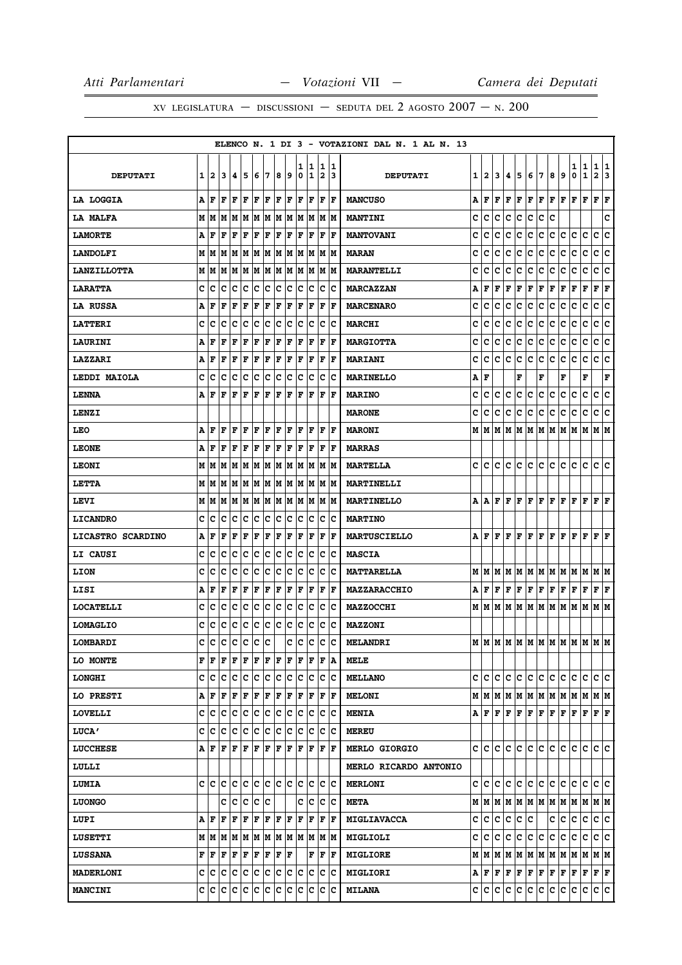|                    |   |         |                                                           |               |            |     |     |                      |    |        |         |        |                      | ELENCO N. 1 DI 3 - VOTAZIONI DAL N. 1 AL N. 13 |    |         |     |         |                              |                                                                                                                                                                                                                                                                                                                                                                                                                                                                                            |     |     |                                                                       |         |                              |                      |    |
|--------------------|---|---------|-----------------------------------------------------------|---------------|------------|-----|-----|----------------------|----|--------|---------|--------|----------------------|------------------------------------------------|----|---------|-----|---------|------------------------------|--------------------------------------------------------------------------------------------------------------------------------------------------------------------------------------------------------------------------------------------------------------------------------------------------------------------------------------------------------------------------------------------------------------------------------------------------------------------------------------------|-----|-----|-----------------------------------------------------------------------|---------|------------------------------|----------------------|----|
| <b>DEPUTATI</b>    | 1 | 2       | 13                                                        | 14.           | 15         | 6   | 17  | 8                    | 19 | ı<br>0 | 11<br>1 | 1<br>2 | 11<br>13.            | <b>DEPUTATI</b>                                | 11 | 2       | 3   | 4       | 5                            | 6                                                                                                                                                                                                                                                                                                                                                                                                                                                                                          | 17  | 8   | 9                                                                     | 1<br>0  | $\mathbf{1}$<br>$\mathbf{1}$ | 1 1<br>$\mathbf{2}$  | 13 |
| LA LOGGIA          |   | A F     | F                                                         | lF.           | F          | F   | F   | $ {\bf F}  {\bf F} $ |    | F      | F       |        | F  F                 | <b>MANCUSO</b>                                 | Α  | F       | F   | F       | F                            | F F                                                                                                                                                                                                                                                                                                                                                                                                                                                                                        |     | F F |                                                                       | F       | F                            | $ {\bf F}  {\bf F} $ |    |
| LA MALFA           |   |         |                                                           |               |            |     |     |                      |    |        |         |        |                      | <b>MANTINI</b>                                 | c  | c       | c   | c       | c                            | c                                                                                                                                                                                                                                                                                                                                                                                                                                                                                          | c   | c   |                                                                       |         |                              |                      | c  |
| <b>LAMORTE</b>     | Α | F       | ΙF                                                        | l F           | l F        | F   | F   | F                    | F  | F      | ΙF      | F      | ΙF                   | <b>MANTOVANI</b>                               | c  | c       | c   | c       | c                            | c                                                                                                                                                                                                                                                                                                                                                                                                                                                                                          | c   | с   | c                                                                     | c       | c                            | с                    | c  |
| <b>LANDOLFI</b>    |   |         | M   M   M   M   M   M   M   M   M                         |               |            |     |     |                      |    |        | M M     |        | M   M                | <b>MARAN</b>                                   | c  | с       | c   | с       | c                            | с                                                                                                                                                                                                                                                                                                                                                                                                                                                                                          | c   | с   | c                                                                     | c       | c                            | c c                  |    |
| <b>LANZILLOTTA</b> |   | MM      |                                                           | M   M   M     |            |     | MM  | M M                  |    | lм     | M       | M      | lМ                   | <b>MARANTELLI</b>                              | c  | c       | c   | c       | с                            | c                                                                                                                                                                                                                                                                                                                                                                                                                                                                                          | c   | с   | с                                                                     | с       | с                            | c                    | c  |
| <b>LARATTA</b>     | c | c       | lc.                                                       | c             | c          | c   | c   | c                    | c  | c      | Iс      | c      | c                    | <b>MARCAZZAN</b>                               | А  | F       | F   | F       | F                            | F                                                                                                                                                                                                                                                                                                                                                                                                                                                                                          | F   | F   | F                                                                     | F       | F                            | ${\bf F}$ ${\bf F}$  |    |
| LA RUSSA           |   | A F     | l F                                                       | lF            | F          | F   | F   | F                    | F  | F      | F       | F      | F                    | <b>MARCENARO</b>                               | c  | c       | c   | c       | с                            | c                                                                                                                                                                                                                                                                                                                                                                                                                                                                                          | c   | с   | c                                                                     | c       | $\mathbf C$                  | c                    | c  |
| <b>LATTERI</b>     | c | lc      | c                                                         | Iс            | Ιc         | Ιc  | Iс  | Ιc                   | Iс | Iс     | Iс      | c      | ΙC                   | <b>MARCHI</b>                                  | c  | c       | c   | c       | c                            | c                                                                                                                                                                                                                                                                                                                                                                                                                                                                                          | c   | c   | с                                                                     | c       | c                            | c c                  |    |
| <b>LAURINI</b>     | Α | F       | l F                                                       | F             | F          | F   | F   | F                    | F  | F      | F       | F      | lF.                  | <b>MARGIOTTA</b>                               | c  | с       | c   | c       | c                            | c                                                                                                                                                                                                                                                                                                                                                                                                                                                                                          | c   | c   | c                                                                     | c       | c                            | c                    | c  |
| <b>LAZZARI</b>     | А | ١F      | F                                                         | l F           | F          | F   | F   | F                    | F  | F      | F       | F      | F                    | <b>MARIANI</b>                                 | c  | c       | с   | c       | c                            | с                                                                                                                                                                                                                                                                                                                                                                                                                                                                                          | c   | c   | c                                                                     | c       | c                            | c                    | c  |
| LEDDI MAIOLA       | c | c       | ١c                                                        | Ιc            | ∣c         | c   | ∣c  | Iс                   | c  | Iс     | Iс      | c      | ΙC                   | <b>MARINELLO</b>                               | А  | F       |     |         | F                            |                                                                                                                                                                                                                                                                                                                                                                                                                                                                                            | F   |     | F                                                                     |         | F                            |                      | F  |
| <b>LENNA</b>       | A | l F     | F                                                         | F             | l F        | F   | l F | F                    | F  | lF.    | F       | ΙF     | l F                  | <b>MARINO</b>                                  | c  | c       | с   | c       | с                            | c                                                                                                                                                                                                                                                                                                                                                                                                                                                                                          | c   | с   | с                                                                     | с       | с                            | с                    | c  |
| LENZI              |   |         |                                                           |               |            |     |     |                      |    |        |         |        |                      | <b>MARONE</b>                                  | c  | c       | c   | c       | lc.                          | c                                                                                                                                                                                                                                                                                                                                                                                                                                                                                          | lc. | c   | c                                                                     | c       | c                            | c c                  |    |
| LEO                |   | A   F   | F                                                         | l F           | ΙF         | F   | l F | F                    | ١F | F      | lF.     | F      | ١F                   | <b>MARONI</b>                                  |    |         |     |         |                              |                                                                                                                                                                                                                                                                                                                                                                                                                                                                                            |     |     |                                                                       |         |                              |                      |    |
| <b>LEONE</b>       | А | ١F      | ΙF                                                        | F             | F          | F   | F   | F                    | F  | F      | F       | F      | l F                  | <b>MARRAS</b>                                  |    |         |     |         |                              |                                                                                                                                                                                                                                                                                                                                                                                                                                                                                            |     |     |                                                                       |         |                              |                      |    |
| <b>LEONI</b>       |   |         |                                                           |               |            |     |     |                      |    |        |         |        |                      | <b>MARTELLA</b>                                |    | c ic ic |     |         | c c                          | c c                                                                                                                                                                                                                                                                                                                                                                                                                                                                                        |     | c c |                                                                       | lc.     | lc.                          | lc Ic                |    |
| LETTA              |   |         |                                                           |               |            |     |     |                      |    |        |         | M      | lм                   | MARTINELLI                                     |    |         |     |         |                              |                                                                                                                                                                                                                                                                                                                                                                                                                                                                                            |     |     |                                                                       |         |                              |                      |    |
| LEVI               |   |         | M   M   M                                                 |               | M  M  M  M |     |     |                      | MM |        | M  M    |        | M  M                 | <b>MARTINELLO</b>                              |    |         |     |         |                              |                                                                                                                                                                                                                                                                                                                                                                                                                                                                                            |     |     |                                                                       |         |                              |                      |    |
| <b>LICANDRO</b>    | c | c       | c                                                         | Ιc            | c          | c   | c   | c                    | c  | c      | Ιc      | c      | c                    | <b>MARTINO</b>                                 |    |         |     |         |                              |                                                                                                                                                                                                                                                                                                                                                                                                                                                                                            |     |     |                                                                       |         |                              |                      |    |
| LICASTRO SCARDINO  |   | AF      | F                                                         | F             | F          | F   | F   | F                    | F  | F      | F       | F      | F                    | <b>MARTUSCIELLO</b>                            |    |         |     |         |                              |                                                                                                                                                                                                                                                                                                                                                                                                                                                                                            |     |     |                                                                       |         |                              |                      |    |
| <b>LI CAUSI</b>    | c | lc      | c                                                         | Ιc            | Ιc         | Iс  | ΙC  | Iс                   | Iс | Iс     | Iс      | c      | Ιc                   | <b>MASCIA</b>                                  |    |         |     |         |                              |                                                                                                                                                                                                                                                                                                                                                                                                                                                                                            |     |     |                                                                       |         |                              |                      |    |
| LION               | c | с       | Iс                                                        | Iс            | Iс         | Ιc  | Iс  | Iс                   | Iс | Iс     | Iс      | c      | ΙC                   | <b>MATTARELLA</b>                              |    | MMM     |     |         |                              |                                                                                                                                                                                                                                                                                                                                                                                                                                                                                            |     |     | M  M  M  M  M  M  M  M                                                |         |                              | M M                  |    |
| LISI               | А | F       | F                                                         | F             | F          | F   | F   | F                    | F  | F      | lF.     | F      | ١F                   | MAZZARACCHIO                                   | А  |         |     | F F F F |                              | F F F F                                                                                                                                                                                                                                                                                                                                                                                                                                                                                    |     |     |                                                                       | F F     |                              | $ {\bf F}  {\bf F} $ |    |
| <b>LOCATELLI</b>   | c | ١c      | c                                                         | Ιc            | Ιc         | Iс  | Iс  | Iс                   | c  | c      | Iс      | c      | Ιc                   | <b>MAZZOCCHI</b>                               |    |         |     |         |                              |                                                                                                                                                                                                                                                                                                                                                                                                                                                                                            |     |     | M   M   M   M   M   M   M   M   M   M                                 |         | M   M   M                    |                      |    |
| <b>LOMAGLIO</b>    | c | c       | c                                                         | c             | c          | c   | ∣c  | c                    | c  | c      | c       | IС     | c                    | <b>MAZZONI</b>                                 |    |         |     |         |                              |                                                                                                                                                                                                                                                                                                                                                                                                                                                                                            |     |     |                                                                       |         |                              |                      |    |
| LOMBARDI           | c | c       | c                                                         | c             | c c        |     | ∣c  |                      | C  | c      | c       | c      | c                    | <b>MELANDRI</b>                                |    |         |     |         |                              |                                                                                                                                                                                                                                                                                                                                                                                                                                                                                            |     |     |                                                                       |         |                              |                      |    |
| <b>LO MONTE</b>    |   | F  F    | ١F                                                        | F             | F          | F   | F   | F                    | F  | lF.    | F       | F      | ΙA                   | MELE                                           |    |         |     |         |                              |                                                                                                                                                                                                                                                                                                                                                                                                                                                                                            |     |     |                                                                       |         |                              |                      |    |
| <b>LONGHI</b>      |   | c  c  c |                                                           | IC IC         |            | c c |     | c c                  |    | IC.    | Ιc      |        | ∣c ∣c                | <b>MELLANO</b>                                 |    | c  c    | c   | c       | lc.                          | ∣c∙                                                                                                                                                                                                                                                                                                                                                                                                                                                                                        | c   | c.  | c                                                                     | c       | c                            | c c                  |    |
| LO PRESTI          |   | A   F   | F                                                         | F             | F          | F   | F   | F                    | F  | F      | F       | F      | ١F                   | <b>MELONI</b>                                  |    |         |     |         |                              | M   M   M   M   M   M   M   M   M                                                                                                                                                                                                                                                                                                                                                                                                                                                          |     |     |                                                                       | M M     |                              | M M                  |    |
| <b>LOVELLI</b>     |   |         | c c c c c c c c c c                                       |               |            |     |     |                      |    |        | c c     | IС     | ΙC                   | <b>MENIA</b>                                   |    |         |     |         |                              | A F F F F F F                                                                                                                                                                                                                                                                                                                                                                                                                                                                              |     | F F |                                                                       | F F     |                              | F F                  |    |
| <b>LUCA'</b>       | c | Ιc      | Iс                                                        | Iс            | c          | c   | ∣c  | Ιc                   | Iс | Iс     | Iс      | с      | ΙC                   | <b>MEREU</b>                                   |    |         |     |         |                              |                                                                                                                                                                                                                                                                                                                                                                                                                                                                                            |     |     |                                                                       |         |                              |                      |    |
| <b>LUCCHESE</b>    |   |         | $A$ $F$ $F$ $F$ $F$ $F$ $F$                               |               |            |     |     | F                    | F  | F      | F       |        | $ {\bf F}  {\bf F} $ | <b>MERLO GIORGIO</b>                           |    | c Ic    | lc. | lc.     | lc.                          | c c                                                                                                                                                                                                                                                                                                                                                                                                                                                                                        |     | lC. | lc.                                                                   | с       | IС                           | lc Ic                |    |
| LULLI              |   |         |                                                           |               |            |     |     |                      |    |        |         |        |                      | <b>MERLO RICARDO ANTONIO</b>                   |    |         |     |         |                              |                                                                                                                                                                                                                                                                                                                                                                                                                                                                                            |     |     |                                                                       |         |                              |                      |    |
| LUMIA              |   | c Ic Ic |                                                           | c c           |            |     | c c | c c                  |    | lc.    | c       |        | lc lc                | <b>MERLONI</b>                                 |    | c c c   |     | lc.     |                              | c c c                                                                                                                                                                                                                                                                                                                                                                                                                                                                                      |     | lc. | lc.                                                                   | lc.     | lc.                          | lc lc                |    |
| <b>LUONGO</b>      |   |         |                                                           | C C C         |            | ∣c  | ∣c  |                      |    |        | c  c    | Iс     | ΙC                   | <b>META</b>                                    |    |         |     |         |                              |                                                                                                                                                                                                                                                                                                                                                                                                                                                                                            |     |     | $M$   $M$   $M$   $M$   $M$   $M$   $M$   $M$   $M$   $M$   $M$   $M$ |         |                              |                      |    |
| LUPI               | Α | l F     | ΙF                                                        | l F           | F          | F   | F   | F                    | F  | F      | F       | F      | lF.                  | <b>MIGLIAVACCA</b>                             |    | c  c    | c   | c       | C.                           | c                                                                                                                                                                                                                                                                                                                                                                                                                                                                                          |     | c   | IC.                                                                   | c       | c                            | c c                  |    |
| <b>LUSETTI</b>     |   |         | $M$   $M$   $M$   $M$   $M$   $M$   $M$   $M$   $M$   $M$ |               |            |     |     |                      |    |        |         |        | M M                  | MIGLIOLI                                       |    | c c c   |     | c       | lc.                          | c c                                                                                                                                                                                                                                                                                                                                                                                                                                                                                        |     | c.  | lc.                                                                   | С       | IC.                          | c c                  |    |
| <b>LUSSANA</b>     |   | F  F    |                                                           | F   F   F   F |            |     |     | F F                  |    |        | F       | F      | ΙF                   | <b>MIGLIORE</b>                                |    |         |     |         |                              |                                                                                                                                                                                                                                                                                                                                                                                                                                                                                            |     |     | $M$   $M$   $M$   $M$   $M$   $M$   $M$   $M$   $M$   $M$   $M$   $M$ |         |                              |                      |    |
| <b>MADERLONI</b>   |   | C C C   |                                                           | c c           |            | c c |     | c                    | ∣c | IС     | c       | c      | ΙC                   | <b>MIGLIORI</b>                                |    |         |     |         |                              | $\mathbf{A} \left  \mathbf{F} \right. \left  \mathbf{F} \right. \left  \mathbf{F} \right. \left  \mathbf{F} \right. \left  \mathbf{F} \right. \left  \mathbf{F} \right. \left  \mathbf{F} \right. \left  \mathbf{F} \right. \left  \mathbf{F} \right. \left  \mathbf{F} \right. \left  \mathbf{F} \right. \left  \mathbf{F} \right. \left  \mathbf{F} \right. \left  \mathbf{F} \right. \left  \mathbf{F} \right. \left  \mathbf{F} \right. \left  \mathbf{F} \right. \left  \mathbf{F} \$ |     |     |                                                                       | $F$ $F$ |                              | F F                  |    |
| <b>MANCINI</b>     |   |         | c c c c c c c c c c                                       |               |            |     |     |                      |    | lc.    | lc.     | ∣c     | lc.                  | <b>MILANA</b>                                  |    | c c c   |     |         | $ {\bf C} \,   {\bf C} \,  $ | c c                                                                                                                                                                                                                                                                                                                                                                                                                                                                                        |     | c c |                                                                       | С       | С                            | c c                  |    |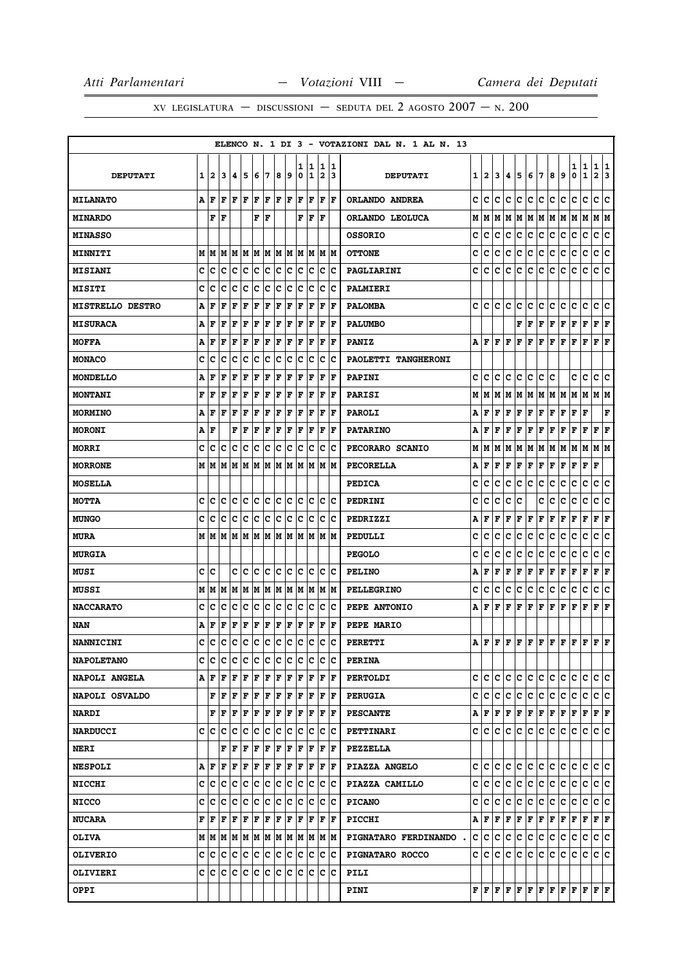|                         |   |                                       |     |                                   |     |     |     |                      |     |        |        |                              |                      | ELENCO N. 1 DI 3 - VOTAZIONI DAL N. 1 AL N. 13 |   |         |     |             |     |                                                                                                                                                                                                                                                                                                                                                                                                                                                                                            |     |     |                                                                                                                                                                                                                                                                                                                                                                                               |        |                   |                      |             |
|-------------------------|---|---------------------------------------|-----|-----------------------------------|-----|-----|-----|----------------------|-----|--------|--------|------------------------------|----------------------|------------------------------------------------|---|---------|-----|-------------|-----|--------------------------------------------------------------------------------------------------------------------------------------------------------------------------------------------------------------------------------------------------------------------------------------------------------------------------------------------------------------------------------------------------------------------------------------------------------------------------------------------|-----|-----|-----------------------------------------------------------------------------------------------------------------------------------------------------------------------------------------------------------------------------------------------------------------------------------------------------------------------------------------------------------------------------------------------|--------|-------------------|----------------------|-------------|
| <b>DEPUTATI</b>         | 1 | 2                                     | 13  | 14.                               | 15  | 6   | 17  | 8                    | و   | ı<br>0 | 1<br>1 | 1<br>$\overline{\mathbf{2}}$ | 1<br>13              | <b>DEPUTATI</b>                                |   | 1   2   | 3   | 4           | 5   | 6 7                                                                                                                                                                                                                                                                                                                                                                                                                                                                                        |     | 8   | 9                                                                                                                                                                                                                                                                                                                                                                                             | 1<br>0 | 1<br>$\mathbf{1}$ | 1<br>$\mathbf{2}$    | 1<br>3      |
| <b>MILANATO</b>         |   | A F                                   | l F | l F                               | ١F  | F   | lF. | F                    | lF. | l F    | F      | l F                          | ١F                   | ORLANDO ANDREA                                 | c | lc.     | c   | c           | lc. | lc.                                                                                                                                                                                                                                                                                                                                                                                                                                                                                        | lc. | lc. | c                                                                                                                                                                                                                                                                                                                                                                                             | c      | c                 | c                    | lc.         |
| <b>MINARDO</b>          |   | F                                     | lF  |                                   |     | F   | ΙF  |                      |     | F      | lF.    | ΙF                           |                      | ORLANDO LEOLUCA                                | м | MM      |     |             |     |                                                                                                                                                                                                                                                                                                                                                                                                                                                                                            |     |     | M  M  M  M  M  M  M  M                                                                                                                                                                                                                                                                                                                                                                        |        |                   | M  M                 |             |
| <b>MINASSO</b>          |   |                                       |     |                                   |     |     |     |                      |     |        |        |                              |                      | <b>OSSORIO</b>                                 | c | с       | c   | c           | с   | c                                                                                                                                                                                                                                                                                                                                                                                                                                                                                          | c   | с   | с                                                                                                                                                                                                                                                                                                                                                                                             | с      | с                 | с                    | c           |
| <b>MINNITI</b>          |   |                                       |     |                                   |     |     |     |                      |     |        |        | MIMIMIMIMIMIMIMIMIMIM        |                      | <b>OTTONE</b>                                  | c | c       | c   | c           | c   | c                                                                                                                                                                                                                                                                                                                                                                                                                                                                                          | c   | c   | c                                                                                                                                                                                                                                                                                                                                                                                             | c      | c                 | c c                  |             |
| <b>MISIANI</b>          | C | c                                     | c   | Iс                                | c   | c   | c   | c                    | c   | c      | c      | c                            | c                    | PAGLIARINI                                     | c | c       | c   | c           | с   | c                                                                                                                                                                                                                                                                                                                                                                                                                                                                                          | c   | c   | c                                                                                                                                                                                                                                                                                                                                                                                             | c      | c                 | c                    | c           |
| <b>MISITI</b>           | C | lc                                    | lc  | Iс                                | Ιc  | Ιc  | lc. | lc                   | lc  | c      | Ιc     | c                            | Ιc                   | <b>PALMIERI</b>                                |   |         |     |             |     |                                                                                                                                                                                                                                                                                                                                                                                                                                                                                            |     |     |                                                                                                                                                                                                                                                                                                                                                                                               |        |                   |                      |             |
| <b>MISTRELLO DESTRO</b> | Α | F                                     | F   | F                                 | F   | F   | F   | F                    | F   | F      | F      | F                            | l F                  | <b>PALOMBA</b>                                 | c | c       | c   | c           | c   | с                                                                                                                                                                                                                                                                                                                                                                                                                                                                                          | c   | с   | c                                                                                                                                                                                                                                                                                                                                                                                             | c      | c                 | c                    | lc.         |
| <b>MISURACA</b>         | А | l F                                   | l F | F                                 | F   | F   | F   | F                    | F   | F      | F      | F                            | l F                  | <b>PALUMBO</b>                                 |   |         |     |             | F   | l F                                                                                                                                                                                                                                                                                                                                                                                                                                                                                        | F   | F   | F                                                                                                                                                                                                                                                                                                                                                                                             | F      | F                 | F                    | F           |
| <b>MOFFA</b>            | Α | F                                     | F   | F                                 | F   | F   | F   | F                    | F   | F      | F      | F                            | F                    | <b>PANIZ</b>                                   |   | A F F F |     |             | F   | F                                                                                                                                                                                                                                                                                                                                                                                                                                                                                          | F   | F   | F                                                                                                                                                                                                                                                                                                                                                                                             | F      | F                 | $ {\bf F}  {\bf F} $ |             |
| <b>MONACO</b>           | c | с                                     | c   | с                                 | c   | c   | c   | c                    | c   | c      | c      | с                            | Ιc                   | PAOLETTI TANGHERONI                            |   |         |     |             |     |                                                                                                                                                                                                                                                                                                                                                                                                                                                                                            |     |     |                                                                                                                                                                                                                                                                                                                                                                                               |        |                   |                      |             |
| <b>MONDELLO</b>         | A | F                                     | F   | F                                 | F   | F   | F   | F                    | F   | F      | F      | F                            | F                    | <b>PAPINI</b>                                  | c | lc.     | c   | c           | lc. | c.                                                                                                                                                                                                                                                                                                                                                                                                                                                                                         | c   | ΙC  |                                                                                                                                                                                                                                                                                                                                                                                               | c      | c                 | c c                  |             |
| <b>MONTANI</b>          | F | F                                     | F   | F                                 | l F | ΙF  | F   | ΙF                   | F   | l F    | ΙF     | F                            | l F                  | PARISI                                         | М | М       | М   | м           | M   | M                                                                                                                                                                                                                                                                                                                                                                                                                                                                                          | M   | M M |                                                                                                                                                                                                                                                                                                                                                                                               | М      | M                 | MM                   |             |
| MORMINO                 | Α | l F                                   | l F | lF.                               | F   | F   | F   | F                    | F   | l F    | F      | F                            | F                    | <b>PAROLI</b>                                  | А | F       | F   | $\mathbf F$ | F   | F                                                                                                                                                                                                                                                                                                                                                                                                                                                                                          | F   | F   | F                                                                                                                                                                                                                                                                                                                                                                                             | F      | F                 |                      | $\mathbf F$ |
| <b>MORONI</b>           |   | A   F                                 |     | F                                 | F   | F   | F   | F                    | F   | F      | F      | F                            | lF.                  | <b>PATARINO</b>                                | A | F       | F   | F           | F   | $\mathbf F$                                                                                                                                                                                                                                                                                                                                                                                                                                                                                | F   | F   | F                                                                                                                                                                                                                                                                                                                                                                                             | F      | F                 | $ {\bf F}  {\bf F} $ |             |
| <b>MORRI</b>            | c | Iс                                    | c   | Iс                                | Ιc  | lc. | c   | Ιc                   | c   | c      | lc.    | с                            | Ιc                   | PECORARO SCANIO                                | М | м       | М   | М           | lм  | M                                                                                                                                                                                                                                                                                                                                                                                                                                                                                          | M   | M   | M                                                                                                                                                                                                                                                                                                                                                                                             | М      | M                 | МM                   |             |
| <b>MORRONE</b>          |   |                                       |     |                                   |     |     |     |                      |     |        |        |                              |                      | <b>PECORELLA</b>                               | А | F F     |     |             | F F | F                                                                                                                                                                                                                                                                                                                                                                                                                                                                                          | F   | F   | F                                                                                                                                                                                                                                                                                                                                                                                             | F      | F                 | F                    |             |
| <b>MOSELLA</b>          |   |                                       |     |                                   |     |     |     |                      |     |        |        |                              |                      | <b>PEDICA</b>                                  | c | c       | c   | c           | с   | c                                                                                                                                                                                                                                                                                                                                                                                                                                                                                          | с   | с   | c                                                                                                                                                                                                                                                                                                                                                                                             | c      | с                 | с                    | c           |
| <b>MOTTA</b>            | c | c                                     | lc  | c                                 | ∣c  | lc. | c   | c c                  |     | lc.    | c      | c.                           | Iс                   | PEDRINI                                        | c | c       | c   | с           | c   |                                                                                                                                                                                                                                                                                                                                                                                                                                                                                            | с   | с   | с                                                                                                                                                                                                                                                                                                                                                                                             | с      | $\mathbf C$       | c                    | c           |
| <b>MUNGO</b>            | C | lc                                    | lc  | ١c                                | Ιc  | c   | c   | c                    | c   | lc.    | Iс     | c                            | Ιc                   | PEDRIZZI                                       | А | F       | F   | F           | F   | F                                                                                                                                                                                                                                                                                                                                                                                                                                                                                          | F   | F   | F                                                                                                                                                                                                                                                                                                                                                                                             | F      | F                 | F                    | F           |
| <b>MURA</b>             |   |                                       |     |                                   |     |     |     |                      |     |        |        | IM IM                        |                      | PEDULLI                                        | c | c       | c   | c           | c   | c                                                                                                                                                                                                                                                                                                                                                                                                                                                                                          | c   | c   | с                                                                                                                                                                                                                                                                                                                                                                                             | с      | $\mathbf C$       | c                    | ١c          |
| <b>MURGIA</b>           |   |                                       |     |                                   |     |     |     |                      |     |        |        |                              |                      | <b>PEGOLO</b>                                  | c | с       | c   | c           | c   | c                                                                                                                                                                                                                                                                                                                                                                                                                                                                                          | c   | c   | c                                                                                                                                                                                                                                                                                                                                                                                             | c      | c                 | c                    | c           |
| MUSI                    | c | Iс                                    |     | c                                 | Ιc  | lc. | ١c  | Ιc                   | Iс  | c      | Iс     | с                            | Ιc                   | <b>PELINO</b>                                  | Α | F       | F   | F           | F   | $\mathbf F$                                                                                                                                                                                                                                                                                                                                                                                                                                                                                | F   | F   | F                                                                                                                                                                                                                                                                                                                                                                                             | F      | F                 | F                    | F           |
| MUSSI                   |   | M   M   M                             |     |                                   |     |     |     |                      |     |        |        | M  M  M  M  M  M  M  M  M  M |                      | <b>PELLEGRINO</b>                              | c | с       | c   | с           | c   | c                                                                                                                                                                                                                                                                                                                                                                                                                                                                                          | c   | с   | c                                                                                                                                                                                                                                                                                                                                                                                             | c      | c                 | c c                  |             |
| <b>NACCARATO</b>        | c | с                                     | c   | с                                 | Iс  | c   | c   | Iс                   | c   | c      | IС     | с                            | Ιc                   | PEPE ANTONIO                                   | А | F       | F   | F           | F   | F                                                                                                                                                                                                                                                                                                                                                                                                                                                                                          | F   | F   | F                                                                                                                                                                                                                                                                                                                                                                                             | F      | F                 | F                    | F           |
| NAN                     | А | F                                     | F   | F                                 | F   | F   | F   | F                    | F   | F      | F      | F                            | F                    | PEPE MARIO                                     |   |         |     |             |     |                                                                                                                                                                                                                                                                                                                                                                                                                                                                                            |     |     |                                                                                                                                                                                                                                                                                                                                                                                               |        |                   |                      |             |
| <b>NANNICINI</b>        | c | c                                     | c   | c c c c c                         |     |     |     |                      | c   | c      | lc     | C                            | lc.                  | <b>PERETTI</b>                                 |   |         |     |             |     |                                                                                                                                                                                                                                                                                                                                                                                                                                                                                            |     |     | $\mathtt{A} \,   \, \mathtt{F} \,   \, \mathtt{F} \,   \, \mathtt{F} \,   \, \mathtt{F} \,   \, \mathtt{F} \,   \, \mathtt{F} \,   \, \mathtt{F} \,   \, \mathtt{F} \,   \, \mathtt{F} \,   \, \mathtt{F} \,   \, \mathtt{F} \,   \, \mathtt{F} \,   \, \mathtt{F} \,   \, \mathtt{F} \,   \, \mathtt{F} \,   \, \mathtt{F} \,   \, \mathtt{F} \,   \, \mathtt{F} \,   \, \mathtt{F} \,   \,$ |        |                   | F F                  |             |
| <b>NAPOLETANO</b>       |   | C C                                   | IC. | IC IC                             |     | c c |     | Ιc                   | ∣c  | Iс     | Ιc     |                              | ∣c ∣c                | <b>PERINA</b>                                  |   |         |     |             |     |                                                                                                                                                                                                                                                                                                                                                                                                                                                                                            |     |     |                                                                                                                                                                                                                                                                                                                                                                                               |        |                   |                      |             |
| NAPOLI ANGELA           |   | A   F   F   F   F   F                 |     |                                   |     |     |     | F F                  |     |        | F F    | F  F                         |                      | <b>PERTOLDI</b>                                |   |         |     |             |     | c   c   c   c   c   c                                                                                                                                                                                                                                                                                                                                                                                                                                                                      |     | c c |                                                                                                                                                                                                                                                                                                                                                                                               | lc.    | lc.               | lc lc                |             |
| NAPOLI OSVALDO          |   |                                       | F F | ١F                                | F   | F   | F   | F                    | F   | F      | F      | F                            | ١F                   | <b>PERUGIA</b>                                 |   | c  c  c |     | lc.         | lc. | lc.                                                                                                                                                                                                                                                                                                                                                                                                                                                                                        | lc. | lc. | lc.                                                                                                                                                                                                                                                                                                                                                                                           | с      | С                 | c c                  |             |
| <b>NARDI</b>            |   |                                       |     | ${\bf F}$ $\bf F$ $\bf F$ $\bf F$ |     | F F |     | $ {\bf F}  {\bf F} $ |     | F      | F      | F                            | ١F                   | <b>PESCANTE</b>                                |   |         |     |             |     | $\mathbf{A} \left  \mathbf{F} \right. \left  \mathbf{F} \right. \left  \mathbf{F} \right. \left  \mathbf{F} \right. \left  \mathbf{F} \right. \left  \mathbf{F} \right. \left  \mathbf{F} \right. \left  \mathbf{F} \right. \left  \mathbf{F} \right. \left  \mathbf{F} \right. \left  \mathbf{F} \right. \left  \mathbf{F} \right. \left  \mathbf{F} \right. \left  \mathbf{F} \right. \left  \mathbf{F} \right. \left  \mathbf{F} \right. \left  \mathbf{F} \right. \left  \mathbf{F} \$ |     |     |                                                                                                                                                                                                                                                                                                                                                                                               | F F    |                   | F F                  |             |
| <b>NARDUCCI</b>         | c | lc                                    | Iс  | Iс                                | Iс  | c   | c   | Ιc                   | Iс  | c      | Ιc     | с                            | Ιc                   | <b>PETTINARI</b>                               |   | c  c    | IC. | c           | С   | с                                                                                                                                                                                                                                                                                                                                                                                                                                                                                          | IC. | ∣c. | lc.                                                                                                                                                                                                                                                                                                                                                                                           | c      | c                 | c c                  |             |
| <b>NERI</b>             |   |                                       | F   | F                                 | F   | F   | F   | F                    | F   | F      | F      |                              | $ {\bf F}  {\bf F} $ | <b>PEZZELLA</b>                                |   |         |     |             |     |                                                                                                                                                                                                                                                                                                                                                                                                                                                                                            |     |     |                                                                                                                                                                                                                                                                                                                                                                                               |        |                   |                      |             |
| <b>NESPOLI</b>          |   | AF                                    | ١F  | F F                               |     | F   | ΙF  | F                    | F   |        | F F    | F F                          |                      | PIAZZA ANGELO                                  |   | c  c    | lc. |             |     | c c c c                                                                                                                                                                                                                                                                                                                                                                                                                                                                                    |     | c c |                                                                                                                                                                                                                                                                                                                                                                                               | IС     | lc.               | c c                  |             |
| <b>NICCHI</b>           |   | c  c  c                               |     | IC IC                             |     | c c |     | c c                  |     | IC.    | ΙC     |                              | ∣c ∣c                | PIAZZA CAMILLO                                 | c | lc.     | lc. | c           | lc. | lc.                                                                                                                                                                                                                                                                                                                                                                                                                                                                                        | c   | lc. | IC.                                                                                                                                                                                                                                                                                                                                                                                           | IС     | с                 | c c                  |             |
| <b>NICCO</b>            |   | c  c  c                               |     | c c c c                           |     |     |     | c c                  |     |        | c c    | С                            | ΙC                   | <b>PICANO</b>                                  |   | c  c  c |     | ∣c∶         | lc. | lc.                                                                                                                                                                                                                                                                                                                                                                                                                                                                                        | lc. | ∣c∙ | lc.                                                                                                                                                                                                                                                                                                                                                                                           | IС     | lc.               | c c                  |             |
| <b>NUCARA</b>           |   | F F                                   | F   | ΙF                                | ΙF  | F   | F   | l F                  | F   | lF.    | F      | F                            | ١F                   | <b>PICCHI</b>                                  |   |         |     |             |     | A F F F F F F F                                                                                                                                                                                                                                                                                                                                                                                                                                                                            |     | F F |                                                                                                                                                                                                                                                                                                                                                                                               | F F    |                   | F F                  |             |
| <b>OLIVA</b>            |   | M   M   M   M   M   M   M   M   M   M |     |                                   |     |     |     |                      |     |        |        | M  M                         |                      | PIGNATARO FERDINANDO.                          |   |         |     | C C C C     | c   | c.                                                                                                                                                                                                                                                                                                                                                                                                                                                                                         | c   | c.  | IС                                                                                                                                                                                                                                                                                                                                                                                            | C      | c                 | c c                  |             |
| <b>OLIVERIO</b>         |   | c  c                                  | IC. | c c                               |     | c c |     | c c                  |     | Ιc     | Ιc     | IС                           | ΙC                   | PIGNATARO ROCCO                                |   | c  c    | с   | c           | с   | c                                                                                                                                                                                                                                                                                                                                                                                                                                                                                          | IC. | ∣c. | lc.                                                                                                                                                                                                                                                                                                                                                                                           | c      | С                 | c c                  |             |
| <b>OLIVIERI</b>         |   | c c c c c                             |     |                                   |     | c c |     | c                    | c   | lc.    | Ιc     | c                            | Iс                   | PILI                                           |   |         |     |             |     |                                                                                                                                                                                                                                                                                                                                                                                                                                                                                            |     |     |                                                                                                                                                                                                                                                                                                                                                                                               |        |                   |                      |             |
| <b>OPPI</b>             |   |                                       |     |                                   |     |     |     |                      |     |        |        |                              |                      | <b>PINI</b>                                    |   |         |     |             |     |                                                                                                                                                                                                                                                                                                                                                                                                                                                                                            |     |     | ${\bf F}\, \,{\bf F}\, \,{\bf F}\, \,{\bf F}\, \,{\bf F}\, \,{\bf F}\, \,{\bf F}\, \,{\bf F}\, \,{\bf F}\, \,{\bf F}\, \,{\bf F}\, \,{\bf F}\, \,{\bf F}\, \,{\bf F}\,$                                                                                                                                                                                                                       |        |                   |                      |             |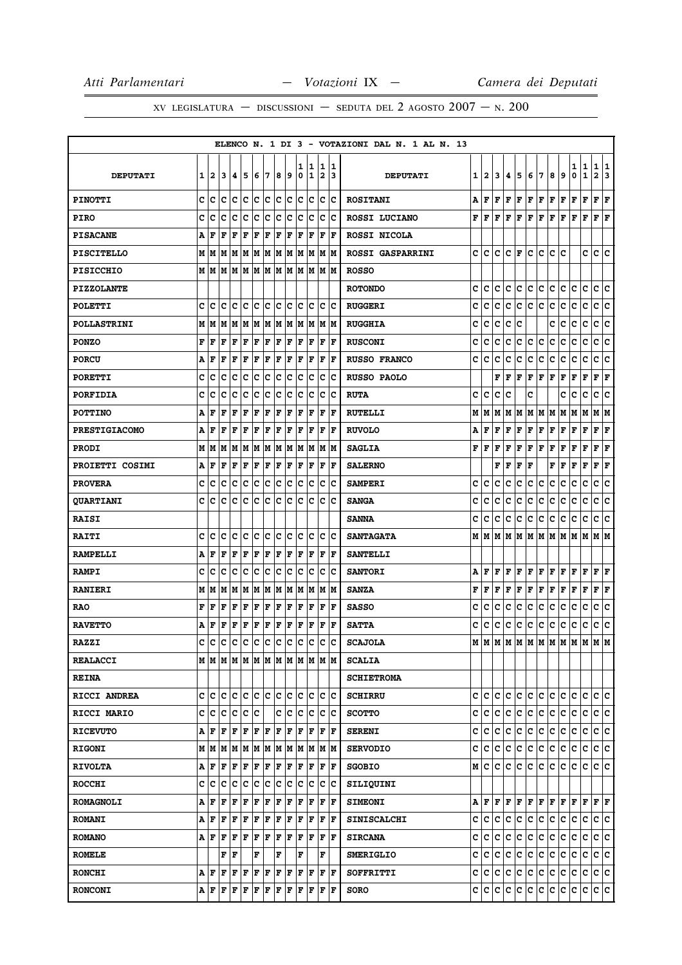|                      |   |                         |     |    |             |     |     |     |     |     |     |                |     | ELENCO N. 1 DI 3 - VOTAZIONI DAL N. 1 AL N. 13 |   |              |     |                      |           |               |     |     |              |   |              |                      |     |
|----------------------|---|-------------------------|-----|----|-------------|-----|-----|-----|-----|-----|-----|----------------|-----|------------------------------------------------|---|--------------|-----|----------------------|-----------|---------------|-----|-----|--------------|---|--------------|----------------------|-----|
|                      |   |                         |     |    |             |     |     |     |     | 1   | 1   | 1              | 1   |                                                |   |              |     |                      |           |               |     |     |              | 1 | 1            | 1                    | 1   |
| <b>DEPUTATI</b>      | 1 | $\mathbf{2}$            | 3   | 4  | 5           | 6   | 7   | 8   | و ا | 0   | 1   | $\overline{2}$ | 13  | <b>DEPUTATI</b>                                | 1 | $\mathbf{2}$ | 3   | 4                    | 5         | 6             | 17  | 8   | 9            | 0 | $\mathbf{1}$ | $\mathbf{2}$         | 13  |
| <b>PINOTTI</b>       | c | Iс                      | c   | Iс | Ιc          | lc. | lc. | lc. | lc. | c   | Iс  | c              | lc  | <b>ROSITANI</b>                                | A | l F          | F   | l F                  | F         | F             | F   | F   | F            | F | F            | $\mathbf{F}$         | ΙF  |
| <b>PIRO</b>          | C | c                       | c   | c  | c           | c   | ∣c  | c   | c   | c   | c   | c              | Ιc  | ROSSI LUCIANO                                  | F | l F          | F   | l F                  | F         | F             | F   | F   | F            | F | F            | F F                  |     |
| <b>PISACANE</b>      | A | F                       | F   | F  | F           | F   | F   | F   | F   | F   | F   | F              | l F | ROSSI NICOLA                                   |   |              |     |                      |           |               |     |     |              |   |              |                      |     |
| <b>PISCITELLO</b>    | M | M                       | M   | M  | M           | M   | M   | M   | M   | M   | M   | М              | lМ  | ROSSI GASPARRINI                               | c | lc.          | lc. | $ {\bf C}  {\bf F} $ |           | lC.           | lc. | C   | ١c           |   | c            | c c                  |     |
| <b>PISICCHIO</b>     | M | M                       | M   | M  | M           | M   | M   | M   | M   | lм  | M   | lм             | M   | <b>ROSSO</b>                                   |   |              |     |                      |           |               |     |     |              |   |              |                      |     |
| <b>PIZZOLANTE</b>    |   |                         |     |    |             |     |     |     |     |     |     |                |     | <b>ROTONDO</b>                                 | C | lc.          | c   | c                    | lc.       | c             | lc. | c   | c            | c | c            | c                    | ١c  |
| <b>POLETTI</b>       | C | c                       | c   | c  | c           | c   | c   | c   | с   | c   | c   | c              | Ιc  | <b>RUGGERI</b>                                 | c | c            | c   | с                    | c         | c             | c   | с   | c            | с | с            | c                    | lc. |
| <b>POLLASTRINI</b>   | М | M                       | M   | M  | M           | lМ  | M   | M   | M   | M   | M   | M              | M   | <b>RUGGHIA</b>                                 | c | c            | c   | c                    | c         |               |     | c   | c            | с | c            | с                    | lc. |
| <b>PONZO</b>         | F | F                       | ΙF  | F  | F           | F   | F   | F   | F   | F   | F   | F              | F   | <b>RUSCONI</b>                                 | c | c            | c   | c                    | c         | c             | c   | c   | c            | c | c            | c                    | lc. |
| <b>PORCU</b>         | A | F                       | F   | F  | F           | F   | F   | F   | F   | F   | F   | F              | l F | <b>RUSSO FRANCO</b>                            | c | c            | c   | c                    | с         | c             | с   | с   | c            | c | с            | с                    | c   |
| <b>PORETTI</b>       | c | c                       | C   | c  | c           | c   | ∣c  | c   | c   | c   | c   | c              | Ιc  | <b>RUSSO PAOLO</b>                             |   |              | F   | l F                  | F         | $\mathbf F$   | F   | F   | F            | г | F            | $ {\bf F}  {\bf F} $ |     |
| <b>PORFIDIA</b>      | c | c                       | c   | c  | C           | c   | c   | c   | c   | c   | c   | c              | c   | <b>RUTA</b>                                    | C | c            | c   | c                    |           | c             |     |     | c            | c | c            | c                    | c   |
| <b>POTTINO</b>       | A | F                       | F   | F  | F           | F   | F   | F   | F   | F   | F   | F              | l F | <b>RUTELLI</b>                                 | М | M            | M   | М                    | M         | М             | M   | M   | М            | M | M            | M M                  |     |
| <b>PRESTIGIACOMO</b> | A | F                       | F   | F  | F           | ΙF  | F   | ΙF  | F   | l F | F   | l F            | l F | <b>RUVOLO</b>                                  | A | F            | F   | F                    | F         | F             | F   | F   | F            | F | F            | F                    | F   |
| <b>PRODI</b>         | М | M                       | M   | M  | M           | M   | M   | M   | M   | M   | M   | M              | M   | <b>SAGLIA</b>                                  | F | l F          | F   | F                    | F         | F             | F   | F   | $\mathbf{F}$ | F | $\mathbf F$  | F                    | F   |
| PROIETTI COSIMI      | А | F                       | F   | F  | F           | F   | F   | F   | F   | F   | F   | $\mathbf F$    | F   | <b>SALERNO</b>                                 |   |              | F   | F                    | F         | $\mathbf{F}$  |     | F   | F            | F | F            | F                    | F   |
| <b>PROVERA</b>       | c | c                       | c   | c  | c           | c   | c   | c   | с   | c   | c   | c              | Iс  | <b>SAMPERI</b>                                 | c | c            | c   | c                    | c         | с             | с   | c   | c            | c | с            | с                    | с   |
| <b>QUARTIANI</b>     | c | c                       | C   | c  | c           | Ιc  | c   | c   | с   | c   | c   | c              | lc  | <b>SANGA</b>                                   | c | c            | c   | c                    | c         | $\mathbf{C}$  | c   | c   | c            | с | c            | с                    | ∣c  |
| <b>RAISI</b>         |   |                         |     |    |             |     |     |     |     |     |     |                |     | <b>SANNA</b>                                   | C | c            | c   | c                    | с         | c             | с   | с   | c            | c | c            | c                    | c   |
| <b>RAITI</b>         | C | c                       | c   | c  | lc          | c   | c   | lc. | lc  | c   | c   | c              | lc  | <b>SANTAGATA</b>                               | М | lм           | M   | M                    | lм        | M             | lм  | M   | M            | M | M            | M  M                 |     |
| <b>RAMPELLI</b>      | A | F                       | F   | F  | $\mathbf F$ | F   | F   | F   | F   | F   | F   | F              | F   | <b>SANTELLI</b>                                |   |              |     |                      |           |               |     |     |              |   |              |                      |     |
| <b>RAMPI</b>         | c | c                       | c   | c  | c           | c   | c   | c   | lc  | c   | c   | c              | c   | <b>SANTORI</b>                                 | A | F            | F   | F                    | F         | F             | F   | F   | F            | F | $\mathbf F$  | F                    | l F |
| <b>RANIERI</b>       | M | M                       | M   | M  | M           | M   | M   | M   | M   | M   | M   | M              | M   | <b>SANZA</b>                                   | F | F            | F   | F                    | F         | F             | F   | F   | F            | F | F            | F F                  |     |
| RAO                  | F | F                       | ΙF  | F  | $\mathbf F$ | F   | F   | F   | F   | F   | F   | F              | l F | <b>SASSO</b>                                   | c | c            | c   | c                    | с         | c             | с   | с   | с            | c | c            | с                    | c   |
| <b>RAVETTO</b>       | А | F                       | F   | F  | F           | F   | F   | F   | F   | F   | F   | F              | l F | <b>SATTA</b>                                   | c | c            | c   | c                    | с         | c             | с   | c   | c            | c | с            | c                    | ∣c  |
| <b>RAZZI</b>         | C | C                       | C   | c  | c           | c   | c   | c   | c   | c   | c   | c              | c   | <b>SCAJOLA</b>                                 | M | lм           |     |                      |           | м м м м м м м |     |     |              | M | M            | M                    | lм  |
| <b>REALACCI</b>      |   |                         |     |    |             |     |     |     |     |     |     |                |     | <b>SCALIA</b>                                  |   |              |     |                      |           |               |     |     |              |   |              |                      |     |
| <b>REINA</b>         |   |                         |     |    |             |     |     |     |     |     |     |                |     | <b>SCHIETROMA</b>                              |   |              |     |                      |           |               |     |     |              |   |              |                      |     |
| RICCI ANDREA         | c | Iс                      | lc. | с  | Iс          | c c |     | lc. | lc. | c   | lc. | c              | Ιc  | <b>SCHIRRU</b>                                 | c | lc.          | c   | c                    | c         | c             | lc. | c.  | c            | c | c            | c c                  |     |
| <b>RICCI MARIO</b>   | c | c                       | c   | c  | c           | Ιc  |     | c   | c   | c   | c   | c              | Iс  | <b>SCOTTO</b>                                  | c | c            | c   | c                    | c         | c             | c   | c.  | c            | c | c            | c c                  |     |
| <b>RICEVUTO</b>      | A | F                       | l F | F  | F           | F   | F   | F   | F   | l F | F   | l F            | ΙF  | <b>SERENI</b>                                  | c | с            | c   | c                    | c         | c             | c   | c   | c            | c | c            | c c                  |     |
| <b>RIGONI</b>        | М | M                       | lм  | М  | M           | M   | M   | M   | M   | M   | M   | M  M           |     | <b>SERVODIO</b>                                | c | lc.          | c   | c                    | c         | $\mathbf c$   | c   | c.  | c            | c | c            | c c                  |     |
| <b>RIVOLTA</b>       | A | F                       | F   | F  | F           | F   | F   | F   | F   | F   | F   | F              | F   | <b>SGOBIO</b>                                  | М | lc.          | c   | c                    | c.        | c.            | c.  | c.  | c.           | c | c            | c c                  |     |
| <b>ROCCHI</b>        | C | с                       | Iс  | c  | c           | c   | c   | c   | Ιc  | c   | c   | c              | Ιc  | SILIQUINI                                      |   |              |     |                      |           |               |     |     |              |   |              |                      |     |
| <b>ROMAGNOLI</b>     | А | F                       | F   | F  | F           | F   | F   | F   | F   | l F | F   | l F            | lF. | <b>SIMEONI</b>                                 | Α | F F          |     | F                    | F         | F F           |     | F F |              | F | F            | $\bf{F}$ $\bf{F}$    |     |
| <b>ROMANI</b>        | А | F                       | F   | F  | F           | F   | F   | F   | F   | ΙF  | F   | F              | F   | <b>SINISCALCHI</b>                             | c | c            | c   | с                    | c         | c             | lc. | c   | c            | c | c            | C C                  |     |
| <b>ROMANO</b>        |   | AF                      | F   | F  | F           | F   | F   | F   | F   | F   | F   | F              | ١F  | <b>SIRCANA</b>                                 | с | lc.          | c   | c                    | c         | c.            | c.  | c   | c            | С | c            | c c                  |     |
| <b>ROMELE</b>        |   |                         | F   | F  |             | F   |     | F   |     | F   |     | F              |     | <b>SMERIGLIO</b>                               | c | с            | с   | с                    | c         | c             | c   | c   | c            | c | c            | c c                  |     |
| <b>RONCHI</b>        | А | F                       | F   | F  | F           | F   | F   | F   | F   | F   | F   | F  F           |     | SOFFRITTI                                      | c | lc.          | c   | c                    | c         | c.            | c.  | c.  | c            | c | c            | c c                  |     |
| <b>RONCONI</b>       |   | $A$ $F$ $F$ $F$ $F$ $F$ |     |    |             |     | F   | F   | F   | F   |     | $F$ $F$ $F$    |     | <b>SORO</b>                                    |   |              |     |                      | c c c c c | c c           |     | c c |              | C | lc.          | c c                  |     |